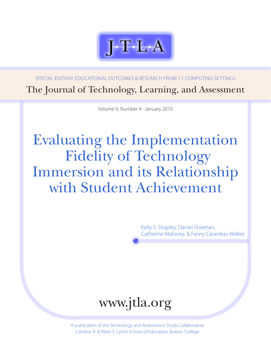

Special Edition: EducATional Outcomes & Research from 1:1 Computing Settings The Journal of Technology, Learning, and Assessment

Volume 9, Number 4 · January 2010

# Evaluating the Implementation Fidelity of Technology Immersion and its Relationship with Student Achievement

Kelly S. Shapley, Daniel Sheehan, Catherine Maloney, & Fanny Caranikas-Walker



A publication of the Technology and Assessment Study Collaborative Caroline A. & Peter S. Lynch School of Education, Boston College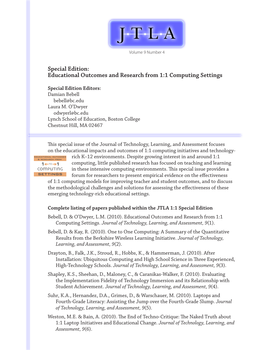

Volume 9 Number 4

#### **Special Edition: Educational Outcomes and Research from 1:1 Computing Settings**

**Special Edition Editors:** Damian Bebell [bebell@bc.edu](mailto:bebell@bc.edu) Laura M. O'Dwyer [odwyerl@bc.edu](mailto:odwyerl@bc.edu) Lynch School of Education, Boston College Chestnut Hill, MA 02467

This special issue of the Journal of Technology, Learning, and Assessment focuses on the educational impacts and outcomes of 1:1 computing initiatives and technology-

 $1 + \infty$ ComPuTInG settings educational outcomes & research from

rich K–12 environments. Despite growing interest in and around 1:1 computing, little published research has focused on teaching and learning in these intensive computing environments. This special issue provides a forum for researchers to present empirical evidence on the effectiveness

of 1:1 computing models for improving teacher and student outcomes, and to discuss the methodological challenges and solutions for assessing the effectiveness of these emerging technology-rich educational settings.

#### **Complete listing of papers published within the JTLA 1:1 Special Edition**

Bebell, D. & O'Dwyer, L.M. (2010). Educational Outcomes and Research from 1:1 Computing Settings. *Journal of Technology, Learning, and Assessment, 9*(1).

Bebell, D. & Kay, R. (2010). One to One Computing: A Summary of the Quantitative Results from the Berkshire Wireless Learning Initiative. *Journal of Technology, Learning, and Assessment, 9*(2).

Drayton, B., Falk, J.K., Stroud, R., Hobbs, K., & Hammerman, J. (2010). After Installation: Ubiquitous Computing and High School Science in Three Experienced, High-Technology Schools. *Journal of Technology, Learning, and Assessment, 9*(3).

Shapley, K.S., Sheehan, D., Maloney, C., & Caranikas-Walker, F. (2010). Evaluating the Implementation Fidelity of Technology Immersion and its Relationship with Student Achievement. *Journal of Technology, Learning, and Assessment, 9*(4).

Suhr, K.A., Hernandez, D.A., Grimes, D., & Warschauer, M. (2010). Laptops and Fourth-Grade Literacy: Assisting the Jump over the Fourth-Grade Slump. *Journal of Technology, Learning, and Assessment, 9*(5).

Weston, M.E. & Bain, A. (2010). The End of Techno-Critique: The Naked Truth about 1:1 Laptop Initiatives and Educational Change. *Journal of Technology, Learning, and Assessment, 9*(6).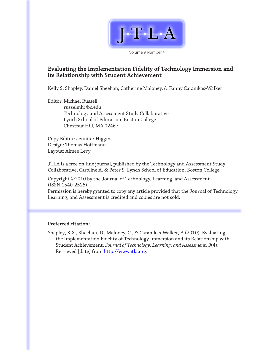

Volume 9 Number 4

#### **Evaluating the Implementation Fidelity of Technology Immersion and its Relationship with Student Achievement**

Kelly S. Shapley, Daniel Sheehan, Catherine Maloney, & Fanny Caranikas-Walker

Editor: Michael Russell [russelmh@bc.edu](mailto:russelmh@bc.edu) Technology and Assessment Study Collaborative Lynch School of Education, Boston College Chestnut Hill, MA 02467

Copy Editor: Jennifer Higgins Design: Thomas Hoffmann Layout: Aimee Levy

JTLA is a free on-line journal, published by the Technology and Assessment Study Collaborative, Caroline A. & Peter S. Lynch School of Education, Boston College.

Copyright ©2010 by the Journal of Technology, Learning, and Assessment (ISSN 1540-2525).

Permission is hereby granted to copy any article provided that the Journal of Technology, Learning, and Assessment is credited and copies are not sold.

#### **Preferred citation:**

Shapley, K.S., Sheehan, D., Maloney, C., & Caranikas-Walker, F. (2010). Evaluating the Implementation Fidelity of Technology Immersion and its Relationship with Student Achievement. *Journal of Technology, Learning, and Assessment, 9*(4). Retrieved [date] from [http://www.jtla.org.](http://escholarship.bc.edu/jtla/)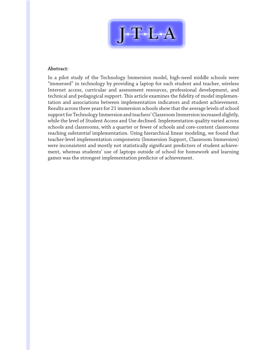

#### **Abstract:**

In a pilot study of the Technology Immersion model, high-need middle schools were "immersed" in technology by providing a laptop for each student and teacher, wireless Internet access, curricular and assessment resources, professional development, and technical and pedagogical support. This article examines the fidelity of model implementation and associations between implementation indicators and student achievement. Results across three years for 21 immersion schools show that the average levels of school support for Technology Immersion and teachers' Classroom Immersion increased slightly, while the level of Student Access and Use declined. Implementation quality varied across schools and classrooms, with a quarter or fewer of schools and core-content classrooms reaching *substantial* implementation. Using hierarchical linear modeling, we found that teacher-level implementation components (Immersion Support, Classroom Immersion) were inconsistent and mostly not statistically significant predictors of student achievement, whereas students' use of laptops outside of school for homework and learning games was the strongest implementation predictor of achievement.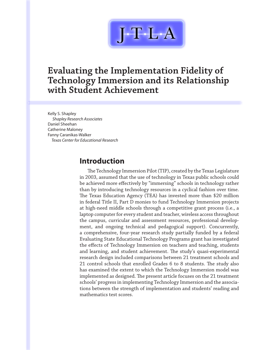

### **Evaluating the Implementation Fidelity of Technology Immersion and its Relationship with Student Achievement**

Kelly S. Shapley *Shapley Research Associates* Daniel Sheehan Catherine Maloney Fanny Caranikas-Walker *Texas Center for Educational Research*

### **Introduction**

The Technology Immersion Pilot (TIP), created by the Texas Legislature in 2003, assumed that the use of technology in Texas public schools could be achieved more effectively by "immersing" schools in technology rather than by introducing technology resources in a cyclical fashion over time. The Texas Education Agency (TEA) has invested more than \$20 million in federal Title II, Part D monies to fund Technology Immersion projects at high-need middle schools through a competitive grant process (i.e., a laptop computer for every student and teacher, wireless access throughout the campus, curricular and assessment resources, professional development, and ongoing technical and pedagogical support). Concurrently, a comprehensive, four-year research study partially funded by a federal Evaluating State Educational Technology Programs grant has investigated the effects of Technology Immersion on teachers and teaching, students and learning, and student achievement. The study's quasi-experimental research design included comparisons between 21 treatment schools and 21 control schools that enrolled Grades 6 to 8 students. The study also has examined the extent to which the Technology Immersion model was implemented as designed. The present article focuses on the 21 treatment schools' progress in implementing Technology Immersion and the associations between the strength of implementation and students' reading and mathematics test scores.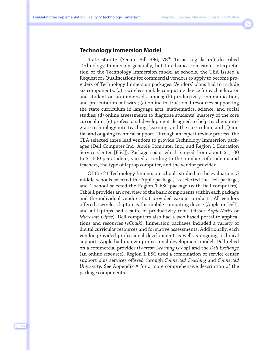#### **Technology Immersion Model**

State statute (Senate Bill 396, 78<sup>th</sup> Texas Legislature) described Technology Immersion generally, but to advance consistent interpretation of the Technology Immersion model at schools, the TEA issued a Request for Qualifications for commercial vendors to apply to become providers of Technology Immersion packages. Vendors' plans had to include six components: (a) a wireless mobile computing device for each educator and student on an immersed campus; (b) productivity, communication, and presentation software; (c) online instructional resources supporting the state curriculum in language arts, mathematics, science, and social studies; (d) online assessments to diagnose students' mastery of the core curriculum; (e) professional development designed to help teachers integrate technology into teaching, learning, and the curriculum; and (f) initial and ongoing technical support. Through an expert review process, the TEA selected three lead vendors to provide Technology Immersion packages (Dell Computer Inc., Apple Computer Inc., and Region 1 Education Service Center [ESC]). Package costs, which ranged from about \$1,100 to \$1,600 per student, varied according to the numbers of students and teachers, the type of laptop computer, and the vendor provider.

Of the 21 Technology Immersion schools studied in the evaluation, 5 middle schools selected the Apple package, 15 selected the Dell package, and 1 school selected the Region 1 ESC package (with Dell computers). Table 1 provides an overview of the basic components within each package and the individual vendors that provided various products. All vendors offered a wireless laptop as the mobile computing device (Apple or Dell), and all laptops had a suite of productivity tools (either *AppleWorks* or *Microsoft Office*). Dell computers also had a web-based portal to applications and resources (*eChalk*). Immersion packages included a variety of digital curricular resources and formative assessments. Additionally, each vendor provided professional development as well as ongoing technical support. Apple had its own professional development model. Dell relied on a commercial provider (*Pearson Learning Group*) and the *Dell Exchange* (an online resource). Region 1 ESC used a combination of service center support plus services offered through *Connected Coaching* and *Connected University*. See Appendix A for a more comprehensive description of the package components.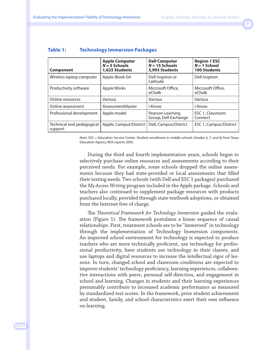| <b>Component</b>                     | <b>Apple Computer</b><br>$N = 5$ Schools<br>1,625 Students | <b>Dell Computer</b><br>$N = 15$ Schools<br>5,993 Students | <b>Region 1 ESC</b><br>$N = 1$ School<br><b>100 Students</b> |
|--------------------------------------|------------------------------------------------------------|------------------------------------------------------------|--------------------------------------------------------------|
| Wireless laptop computer             | Apple iBook G4                                             | Dell Inspiron or<br>Latitude                               | Dell Inspiron                                                |
| Productivity software                | Apple Works                                                | Microsoft Office.<br>eChalk                                | Microsoft Office.<br>eChalk                                  |
| Online resources                     | Various                                                    | Various                                                    | Various                                                      |
| Online assessment                    | AssessmentMaster                                           | i-Know                                                     | i-Know                                                       |
| Professional development             | Apple model                                                | Pearson Learning<br>Group, Dell Exchange                   | ESC 1, Classroom<br>Connect                                  |
| Technical and pedagogical<br>support | Apple, Campus/District                                     | Dell, Campus/District                                      | ESC 1, Campus/District                                       |

#### **Table 1: Technology Immersion Packages**

Note. ESC = Education Service Center. Student enrollment in middle schools (Grades 6, 7, and 8) from Texas Education Agency AEIS reports 2005.

During the third and fourth implementation years, schools began to selectively purchase online resources and assessments according to their perceived needs. For example, some schools dropped the online assessments because they had state-provided or local assessments that filled their testing needs. Two schools (with Dell and ESC 1 packages) purchased the *My Access Writing* program included in the Apple package. Schools and teachers also continued to supplement package resources with products purchased locally, provided through state textbook adoptions, or obtained from the Internet free of charge.

The *Theoretical Framework for Technology Immersion* guided the evaluation (Figure 1). The framework postulates a linear sequence of causal relationships. First, treatment schools are to be "immersed" in technology through the implementation of Technology Immersion components. An improved school environment for technology is expected to produce teachers who are more technically proficient, use technology for professional productivity, have students use technology in their classes, and use laptops and digital resources to increase the intellectual rigor of lessons. In turn, changed school and classroom conditions are expected to improve students' technology proficiency, learning experiences, collaborative interactions with peers, personal self-direction, and engagement in school and learning. Changes in students and their learning experiences presumably contribute to increased academic performance as measured by standardized test scores. In the framework, prior student achievement and student, family, and school characteristics exert their own influence on learning.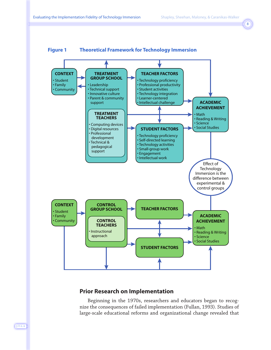

#### **Prior Research on Implementation**

Beginning in the 1970s, researchers and educators began to recognize the consequences of failed implementation (Fullan, 1993). Studies of large-scale educational reforms and organizational change revealed that

J·T·L·A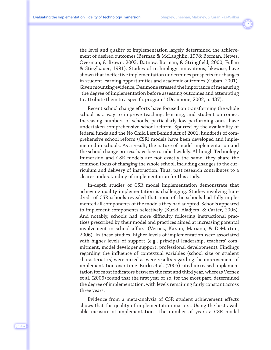the level and quality of implementation largely determined the achievement of desired outcomes (Berman & McLaughlin, 1978; Borman, Hewes, Overman, & Brown, 2003; Datnow, Borman, & Stringfield, 2000; Fullan & Stieglbauer, 1991). Studies of technology innovations, likewise, have shown that ineffective implementation undermines prospects for changes in student learning opportunities and academic outcomes (Cuban, 2001). Given mounting evidence, Desimone stressed the importance of measuring "the degree of implementation before assessing outcomes and attempting to attribute them to a specific program" (Desimone, 2002, p. 437).

Recent school change efforts have focused on transforming the whole school as a way to improve teaching, learning, and student outcomes. Increasing numbers of schools, particularly low performing ones, have undertaken comprehensive school reform. Spurred by the availability of federal funds and the No Child Left Behind Act of 2001, hundreds of comprehensive school reform (CSR) models have been developed and implemented in schools. As a result, the nature of model implementation and the school change process have been studied widely. Although Technology Immersion and CSR models are not exactly the same, they share the common focus of changing the whole school, including changes to the curriculum and delivery of instruction. Thus, past research contributes to a clearer understanding of implementation for this study.

In-depth studies of CSR model implementation demonstrate that achieving quality implementation is challenging. Studies involving hundreds of CSR schools revealed that none of the schools had fully implemented all components of the models they had adopted. Schools appeared to implement components selectively (Kurki, Aladjem, & Carter, 2005). And notably, schools had more difficulty following instructional practices prescribed by their model and practices aimed at increasing parental involvement in school affairs (Vernez, Karam, Mariano, & DeMartini, 2006). In these studies, higher levels of implementation were associated with higher levels of support (e.g., principal leadership, teachers' commitment, model developer support, professional development). Findings regarding the influence of contextual variables (school size or student characteristics) were mixed as were results regarding the improvement of implementation over time. Kurki et al. (2005) cited increased implementation for most indicators between the first and third year, whereas Vernez et al. (2006) found that the first year or so, for the most part, determined the degree of implementation, with levels remaining fairly constant across three years.

Evidence from a meta-analysis of CSR student achievement effects shows that the quality of implementation matters. Using the best available measure of implementation—the number of years a CSR model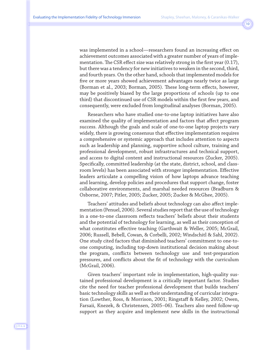was implemented in a school—researchers found an increasing effect on achievement outcomes associated with a greater number of years of implementation. The CSR effect size was relatively strong in the first year (0.17), but there was a tendency for new initiatives to weaken in the second, third, and fourth years. On the other hand, schools that implemented models for five or more years showed achievement advantages nearly twice as large (Borman et al., 2003; Borman, 2005). These long-term effects, however, may be positively biased by the large proportions of schools (up to one third) that discontinued use of CSR models within the first few years, and consequently, were excluded from longitudinal analyses (Borman, 2005).

Researchers who have studied one-to-one laptop initiatives have also examined the quality of implementation and factors that affect program success. Although the goals and scale of one-to-one laptop projects vary widely, there is growing consensus that effective implementation requires a comprehensive or systemic approach that includes attention to aspects such as leadership and planning, supportive school culture, training and professional development, robust infrastructures and technical support, and access to digital content and instructional resources (Zucker, 2005). Specifically, committed leadership (at the state, district, school, and classroom levels) has been associated with stronger implementation. Effective leaders articulate a compelling vision of how laptops advance teaching and learning, develop policies and procedures that support change, foster collaborative environments, and marshal needed resources (Bradburn & Osborne, 2007; Pitler, 2005; Zucker, 2005; Zucker & McGhee, 2005).

Teachers' attitudes and beliefs about technology can also affect implementation (Penuel, 2006). Several studies report that the use of technology in a one-to-one classroom reflects teachers' beliefs about their students and the potential of technology for learning, as well as their conception of what constitutes effective teaching (Garthwait & Weller, 2005; McGrail, 2006; Russell, Bebell, Cowan, & Corbelli, 2002; Windschitl & Sahl, 2002). One study cited factors that diminished teachers' commitment to one-toone computing, including top-down institutional decision making about the program, conflicts between technology use and test-preparation pressures, and conflicts about the fit of technology with the curriculum (McGrail, 2006).

Given teachers' important role in implementation, high-quality sustained professional development is a critically important factor. Studies cite the need for teacher professional development that builds teachers' basic technology skills as well as their understanding of curricular integration (Lowther, Ross, & Morrison, 2001; Ringstaff & Kelley, 2002; Owen, Farsaii, Knezek, & Christensen, 2005–06). Teachers also need follow-up support as they acquire and implement new skills in the instructional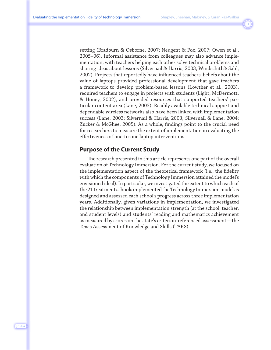setting (Bradburn & Osborne, 2007; Neugent & Fox, 2007; Owen et al., 2005–06). Informal assistance from colleagues may also advance implementation, with teachers helping each other solve technical problems and sharing ideas about lessons (Silvernail & Harris, 2003; Windschitl & Sahl, 2002). Projects that reportedly have influenced teachers' beliefs about the value of laptops provided professional development that gave teachers a framework to develop problem-based lessons (Lowther et al., 2003), required teachers to engage in projects with students (Light, McDermott, & Honey, 2002), and provided resources that supported teachers' particular content area (Lane, 2003). Readily available technical support and dependable wireless networks also have been linked with implementation success (Lane, 2003; Silvernail & Harris, 2003; Silvernail & Lane, 2004; Zucker & McGhee, 2005). As a whole, findings point to the crucial need for researchers to measure the extent of implementation in evaluating the effectiveness of one-to-one laptop interventions.

#### **Purpose of the Current Study**

The research presented in this article represents one part of the overall evaluation of Technology Immersion. For the current study, we focused on the implementation aspect of the theoretical framework (i.e., the fidelity with which the components of Technology Immersion attained the model's envisioned ideal). In particular, we investigated the extent to which each of the 21 treatment schools implemented the Technology Immersion model as designed and assessed each school's progress across three implementation years. Additionally, given variations in implementation, we investigated the relationship between implementation strength (at the school, teacher, and student levels) and students' reading and mathematics achievement as measured by scores on the state's criterion-referenced assessment—the Texas Assessment of Knowledge and Skills (TAKS).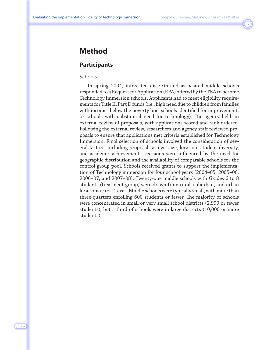### **Method**

#### **Participants**

#### Schools

In spring 2004, interested districts and associated middle schools responded to a Request for Application (RFA) offered by the TEA to become Technology Immersion schools. Applicants had to meet eligibility requirements for Title II, Part D funds (i.e., high need due to children from families with incomes below the poverty line, schools identified for improvement, or schools with substantial need for technology). The agency held an external review of proposals, with applications scored and rank ordered. Following the external review, researchers and agency staff reviewed proposals to ensure that applications met criteria established for Technology Immersion. Final selection of schools involved the consideration of several factors, including proposal ratings, size, location, student diversity, and academic achievement. Decisions were influenced by the need for geographic distribution and the availability of comparable schools for the control group pool. Schools received grants to support the implementation of Technology immersion for four school years (2004–05, 2005–06, 2006–07, and 2007–08). Twenty-one middle schools with Grades 6 to 8 students (treatment group) were drawn from rural, suburban, and urban locations across Texas. Middle schools were typically small, with more than three-quarters enrolling 600 students or fewer. The majority of schools were concentrated in small or very small school districts (2,999 or fewer students), but a third of schools were in large districts (10,000 or more students).

J·T·L·A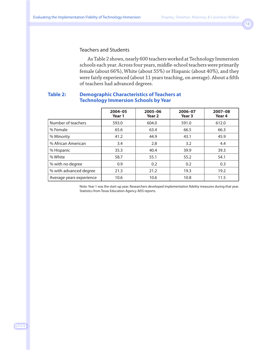#### Teachers and Students

As Table 2 shows, nearly 600 teachers worked at Technology Immersion schools each year. Across four years, middle-school teachers were primarily female (about 66%), White (about 55%) or Hispanic (about 40%), and they were fairly experienced (about 11 years teaching, on average). About a fifth of teachers had advanced degrees.

#### **Table 2: Demographic Characteristics of Teachers at Technology Immersion Schools by Year**

|                          | 2004-05<br>Year 1 | $2005 - 06$<br>Year <sub>2</sub> | 2006-07<br>Year 3 | 2007-08<br>Year 4 |
|--------------------------|-------------------|----------------------------------|-------------------|-------------------|
| Number of teachers       | 593.0             | 604.0                            | 591.0             | 612.0             |
| % Female                 | 65.6              | 63.4                             | 66.5              | 66.3              |
| % Minority               | 41.2              | 44.9                             | 43.1              | 45.9              |
| % African American       | 3.4               | 2.8                              | 3.2               | 4.4               |
| % Hispanic               | 35.3              | 40.4                             | 39.9              | 39.3              |
| % White                  | 58.7              | 55.1                             | 55.2              | 54.1              |
| % with no degree         | 0.9               | 0.2                              | 0.2               | 0.3               |
| % with advanced degree   | 21.3              | 21.2                             | 19.3              | 19.2              |
| Average years experience | 10.6              | 10.6                             | 10.8              | 11.5              |

Note. Year 1 was the start-up year. Researchers developed implementation fidelity measures during that year. Statistics from Texas Education Agency AEIS reports.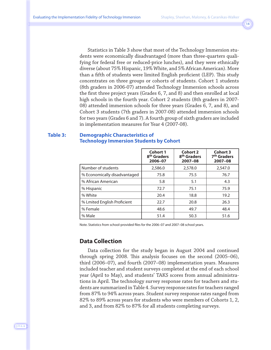Statistics in Table 3 show that most of the Technology Immersion students were economically disadvantaged (more than three-quarters qualifying for federal free or reduced-price lunches), and they were ethnically diverse (about 75% Hispanic, 19% White, and 5% African American). More than a fifth of students were limited English proficient (LEP). This study concentrates on three groups or cohorts of students. Cohort 1 students (8th graders in 2006-07) attended Technology Immersion schools across the first three project years (Grades 6, 7, and 8) and then enrolled at local high schools in the fourth year. Cohort 2 students (8th graders in 2007- 08) attended immersion schools for three years (Grades 6, 7, and 8), and Cohort 3 students (7th graders in 2007-08) attended immersion schools for two years (Grades 6 and 7). A fourth group of sixth graders are included in implementation measures for Year 4 (2007-08).

#### **Table 3: Demographic Characteristics of Technology Immersion Students by Cohort**

|                              | <b>Cohort 1</b><br>8 <sup>th</sup> Graders<br>2006-07 | Cohort 2<br>8 <sup>th</sup> Graders<br>2007-08 | <b>Cohort 3</b><br>7 <sup>th</sup> Graders<br>$2007 - 08$ |
|------------------------------|-------------------------------------------------------|------------------------------------------------|-----------------------------------------------------------|
| Number of students           | 2,586.0                                               | 2,578.0                                        | 2,547.0                                                   |
| % Economically disadvantaged | 75.8                                                  | 75.5                                           | 76.7                                                      |
| % African American           | 5.8                                                   | 5.1                                            | 4.3                                                       |
| % Hispanic                   | 72.7                                                  | 75.1                                           | 75.9                                                      |
| % White                      | 20.4                                                  | 18.8                                           | 19.2                                                      |
| % Lmited English Proficient  | 22.7                                                  | 20.8                                           | 26.3                                                      |
| % Female                     | 48.6                                                  | 49.7                                           | 48.4                                                      |
| % Male                       | 51.4                                                  | 50.3                                           | 51.6                                                      |

Note. Statistics from school-provided files for the 2006–07 and 2007–08 school years.

#### **Data Collection**

Data collection for the study began in August 2004 and continued through spring 2008. This analysis focuses on the second (2005–06), third (2006–07), and fourth (2007–08) implementation years. Measures included teacher and student surveys completed at the end of each school year (April to May), and students' TAKS scores from annual administrations in April. The technology survey response rates for teachers and students are summarized in Table 4. Survey response rates for teachers ranged from 87% to 94% across years. Student survey response rates ranged from 82% to 89% across years for students who were members of Cohorts 1, 2, and 3, and from 82% to 87% for all students completing surveys.

J·T·L·A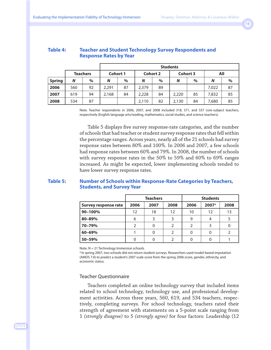| Evaluating the Implementation Fidelity of Technology Immersion |  |  |
|----------------------------------------------------------------|--|--|
|----------------------------------------------------------------|--|--|

| <b>Table 4:</b> | <b>Teacher and Student Technology Survey Respondents and</b> |
|-----------------|--------------------------------------------------------------|
|                 | <b>Response Rates by Year</b>                                |

|               |     |                 |                 | <b>Students</b> |                 |      |                 |      |       |      |  |  |
|---------------|-----|-----------------|-----------------|-----------------|-----------------|------|-----------------|------|-------|------|--|--|
|               |     | <b>Teachers</b> | <b>Cohort 1</b> |                 | <b>Cohort 2</b> |      | <b>Cohort 3</b> |      | All   |      |  |  |
| <b>Spring</b> | N   | $\%$            | N               | $\%$            | N               | $\%$ | N               | $\%$ | N     | $\%$ |  |  |
| 2006          | 560 | 92              | 2,291           | 87              | 2,379           | 89   |                 |      | 7,022 | 87   |  |  |
| 2007          | 619 | 94              | 2,168           | 84              | 2,228           | 84   | 2,220           | 85   | 7,832 | 85   |  |  |
| 2008          | 534 | 87              |                 |                 | 2,110           | 82   | 2,130           | 84   | 7,680 | 85   |  |  |

Note. Teacher respondents in 2006, 2007, and 2008 included 318, 371, and 337 core-subject teachers, respectively (English language arts/reading, mathematics, social studies, and science teachers).

Table 5 displays five survey response-rate categories, and the number of schools that had teacher or student survey response rates that fell within the percentage ranges. Across years, nearly all of the 21 schools had survey response rates between 80% and 100%. In 2006 and 2007, a few schools had response rates between 60% and 79%. In 2008, the number of schools with survey response rates in the 50% to 59% and 60% to 69% ranges increased. As might be expected, lower implementing schools tended to have lower survey response rates.

#### **Table 5: Number of Schools within Response-Rate Categories by Teachers, Students, and Survey Year**

|                      |      | <b>Teachers</b> |               | <b>Students</b> |                     |      |  |
|----------------------|------|-----------------|---------------|-----------------|---------------------|------|--|
| Survey response rate | 2006 | 2007            | 2008          | 2006            | $2007$ <sup>a</sup> | 2008 |  |
| 90-100%              | 12   | 18              | 12            | 10              | 12                  | 13   |  |
| 80-89%               | 6    | 3               |               | 9               |                     |      |  |
| 70-79%               | 2    | 0               | $\mathcal{L}$ | 2               |                     | 0    |  |
| 60-69%               |      | 0               | C             | 0               |                     |      |  |
| 50-59%               |      | 0               |               | 0               |                     |      |  |

Note.  $N = 21$  Technology Immersion schools.

a In spring 2007, two schools did not return student surveys. Researchers used model-based imputation (AMOS 7.0) to predict a student's 2007 scale score from the spring 2006 score, gender, ethnicity, and economic status.

#### Teacher Questionnaire

Teachers completed an online technology survey that included items related to school technology, technology use, and professional development activities. Across three years, 560, 619, and 534 teachers, respectively, completing surveys. For school technology, teachers rated their strength of agreement with statements on a 5-point scale ranging from 1 *(strongly disagree)* to 5 *(strongly agree)* for four factors: Leadership (12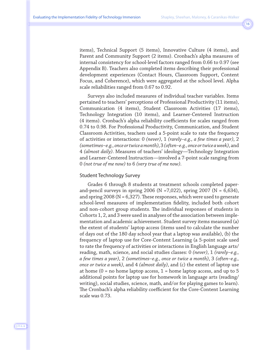items), Technical Support (5 items), Innovative Culture (4 items), and Parent and Community Support (2 items). Cronbach's alpha measures of internal consistency for school-level factors ranged from 0.66 to 0.97 (see Appendix B). Teachers also completed items describing their professional development experiences (Contact Hours, Classroom Support, Content Focus, and Coherence), which were aggregated at the school level. Alpha scale reliabilities ranged from 0.67 to 0.92.

Surveys also included measures of individual teacher variables. Items pertained to teachers' perceptions of Professional Productivity (11 items), Communication (4 items), Student Classroom Activities (17 items), Technology Integration (10 items), and Learner-Centered Instruction (4 items). Cronbach's alpha reliability coefficients for scales ranged from 0.74 to 0.98. For Professional Productivity, Communication, and Student Classroom Activities, teachers used a 5-point scale to rate the frequency of activities or interactions: 0 *(never)*, 1 *(rarely–e.g., a few times a year)*, 2 *(sometimes–e.g., once or twice a month)*, 3 *(often–e.g., once or twice a week)*, and 4 *(almost daily)*. Measures of teachers' ideology—Technology Integration and Learner-Centered Instruction—involved a 7-point scale ranging from 0 *(not true of me now)* to 6 *(very true of me now)*.

#### Student Technology Survey

Grades 6 through 8 students at treatment schools completed paperand-pencil surveys in spring 2006 (N = 7,022), spring 2007 (N =  $6,634$ ), and spring  $2008$  (N = 6,327). These responses, which were used to generate school-level measures of implementation fidelity, included both cohort and non-cohort group students. The individual responses of students in Cohorts 1, 2, and 3 were used in analyses of the association between implementation and academic achievement. Student survey items measured (a) the extent of students' laptop access (items used to calculate the number of days out of the 180 day school year that a laptop was available), (b) the frequency of laptop use for Core-Content Learning (a 5-point scale used to rate the frequency of activities or interactions in English language arts/ reading, math, science, and social studies classes: 0 *(never)*, 1 *(rarely–e.g., a few times a year)*, 2 *(sometimes–e.g., once or twice a month)*, 3 *(often–e.g., once or twice a week)*, and 4 *(almost daily)*, and (c) the extent of laptop use at home  $(0 = no$  home laptop access,  $1 = home$  laptop access, and up to 5 additional points for laptop use for homework in language arts (reading/ writing), social studies, science, math, and/or for playing games to learn). The Cronbach's alpha reliability coefficient for the Core-Content Learning scale was 0.73.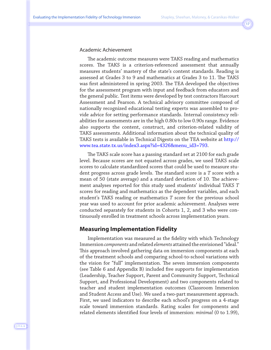#### Academic Achievement

The academic outcome measures were TAKS reading and mathematics scores. The TAKS is a criterion-referenced assessment that annually measures students' mastery of the state's content standards. Reading is assessed at Grades 3 to 9 and mathematics at Grades 3 to 11. The TAKS was first administered in spring 2003. The TEA developed the objectives for the assessment program with input and feedback from educators and the general public. Test items were developed by test contractors Harcourt Assessment and Pearson. A technical advisory committee composed of nationally recognized educational testing experts was assembled to provide advice for setting performance standards. Internal consistency reliabilities for assessments are in the high 0.80s to low 0.90s range. Evidence also supports the content, construct, and criterion-related validity of TAKS assessments. Additional information about the technical quality of TAKS tests is available in Technical Digests on the TEA website at [http://](http://www.tea.state.tx.us/index3.aspx?id=4326&menu_id3=793) [www.tea.state.tx.us/index3.aspx?id=4326&menu\\_id3=793.](http://www.tea.state.tx.us/index3.aspx?id=4326&menu_id3=793) 

The TAKS scale score has a passing standard set at 2100 for each grade level. Because scores are not equated across grades, we used TAKS scale scores to calculate standardized scores that could be used to measure student progress across grade levels. The standard score is a *T* score with a mean of 50 (state average) and a standard deviation of 10. The achievement analyses reported for this study used students' individual TAKS *T* scores for reading and mathematics as the dependent variables, and each student's TAKS reading or mathematics *T* score for the previous school year was used to account for prior academic achievement. Analyses were conducted separately for students in Cohorts 1, 2, and 3 who were continuously enrolled in treatment schools across implementation years.

#### **Measuring Implementation Fidelity**

Implementation was measured as the fidelity with which Technology Immersion *components* and related *elements* attained the envisioned "ideal." This approach involved gathering data on immersion components at each of the treatment schools and comparing school-to-school variations with the vision for "full" implementation. The seven immersion components (see Table 6 and Appendix B) included five supports for implementation (Leadership, Teacher Support, Parent and Community Support, Technical Support, and Professional Development) and two components related to teacher and student implementation outcomes (Classroom Immersion and Student Access and Use). We used a two-part measurement approach. First, we used indicators to describe each school's progress on a 4-stage scale toward immersion standards. Rating scales for components and related elements identified four levels of immersion: *minimal* (0 to 1.99),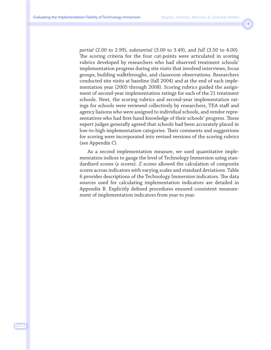*partial* (2.00 to 2.99), *substantial* (3.00 to 3.49), and *full* (3.50 to 4.00). The scoring criteria for the four cut-points were articulated in scoring rubrics developed by researchers who had observed treatment schools' implementation progress during site visits that involved interviews, focus groups, building walkthroughs, and classroom observations. Researchers conducted site visits at baseline (fall 2004) and at the end of each implementation year (2005 through 2008). Scoring rubrics guided the assignment of second-year implementation ratings for each of the 21 treatment schools. Next, the scoring rubrics and second-year implementation ratings for schools were reviewed collectively by researchers, TEA staff and agency liaisons who were assigned to individual schools, and vendor representatives who had first-hand knowledge of their schools' progress. These expert judges generally agreed that schools had been accurately placed in low-to-high implementation categories. Their comments and suggestions for scoring were incorporated into revised versions of the scoring rubrics (see Appendix C).

As a second implementation measure, we used quantitative implementation indices to gauge the level of Technology Immersion using standardized scores (*z* scores). *Z* scores allowed the calculation of composite scores across indicators with varying scales and standard deviations. Table 6 provides descriptions of the Technology Immersion indicators. The data sources used for calculating implementation indicators are detailed in Appendix B. Explicitly defined procedures ensured consistent measurement of implementation indicators from year to year.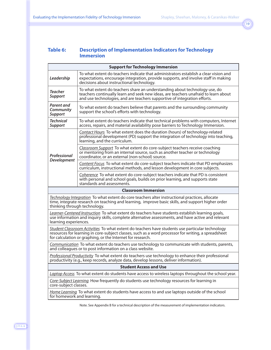#### **Table 6: Description of Implementation Indicators for Technology Immersion**

|                                                                                                                                                                                             | <b>Support for Technology Immersion</b>                                                                                                                                                                                                                              |  |  |  |  |  |  |  |
|---------------------------------------------------------------------------------------------------------------------------------------------------------------------------------------------|----------------------------------------------------------------------------------------------------------------------------------------------------------------------------------------------------------------------------------------------------------------------|--|--|--|--|--|--|--|
| Leadership                                                                                                                                                                                  | To what extent do teachers indicate that administrators establish a clear vision and<br>expectations, encourage integration, provide supports, and involve staff in making<br>decisions about instructional technology.                                              |  |  |  |  |  |  |  |
| Teacher<br><b>Support</b>                                                                                                                                                                   | To what extent do teachers share an understanding about technology use, do<br>teachers continually learn and seek new ideas, are teachers unafraid to learn about<br>and use technologies, and are teachers supportive of integration efforts.                       |  |  |  |  |  |  |  |
| Parent and<br>Community<br><b>Support</b>                                                                                                                                                   | To what extent do teachers believe that parents and the surrounding community<br>support the school's efforts with technology.                                                                                                                                       |  |  |  |  |  |  |  |
| <b>Technical</b><br><b>Support</b>                                                                                                                                                          | To what extent do teachers indicate that technical problems with computers, Internet<br>access, repairs, and material availability pose barriers to Technology Immersion.                                                                                            |  |  |  |  |  |  |  |
|                                                                                                                                                                                             | Contact Hours To what extent does the duration (hours) of technology-related<br>professional development (PD) support the integration of technology into teaching,<br>learning, and the curriculum.                                                                  |  |  |  |  |  |  |  |
| Professional<br><b>Development</b>                                                                                                                                                          | Classroom Support To what extent do core-subject teachers receive coaching<br>or mentoring from an internal source, such as another teacher or technology<br>coordinator, or an external (non-school) source.                                                        |  |  |  |  |  |  |  |
|                                                                                                                                                                                             | Content Focus To what extent do core-subject teachers indicate that PD emphasizes<br>curriculum, instructional methods, and lesson development in core subjects.                                                                                                     |  |  |  |  |  |  |  |
|                                                                                                                                                                                             | Coherence To what extent do core-subject teachers indicate that PD is consistent<br>with personal and school goals, builds on prior learning, and supports state<br>standards and assessments.                                                                       |  |  |  |  |  |  |  |
|                                                                                                                                                                                             | <b>Classroom Immersion</b>                                                                                                                                                                                                                                           |  |  |  |  |  |  |  |
| thinking through technology.                                                                                                                                                                | Technology Integration To what extent do core teachers alter instructional practices, allocate<br>time, integrate research on teaching and learning, improve basic skills, and support higher order                                                                  |  |  |  |  |  |  |  |
| learning experiences.                                                                                                                                                                       | Learner-Centered Instruction To what extent do teachers have students establish learning goals,<br>use information and inquiry skills, complete alternative assessments, and have active and relevant                                                                |  |  |  |  |  |  |  |
|                                                                                                                                                                                             | Student Classroom Activities To what extent do teachers have students use particular technology<br>resources for learning in core-subject classes, such as a word processor for writing, a spreadsheet<br>for calculation or graphing, or the Internet for research. |  |  |  |  |  |  |  |
|                                                                                                                                                                                             | Communication To what extent do teachers use technology to communicate with students, parents,<br>and colleagues or to post information on a class website.                                                                                                          |  |  |  |  |  |  |  |
| Professional Productivity To what extent do teachers use technology to enhance their professional<br>productivity (e.g., keep records, analyze data, develop lessons, deliver information). |                                                                                                                                                                                                                                                                      |  |  |  |  |  |  |  |
| <b>Student Access and Use</b>                                                                                                                                                               |                                                                                                                                                                                                                                                                      |  |  |  |  |  |  |  |
|                                                                                                                                                                                             | Laptop Access To what extent do students have access to wireless laptops throughout the school year.                                                                                                                                                                 |  |  |  |  |  |  |  |
| core-subject classes.                                                                                                                                                                       | Core-Subject Learning How frequently do students use technology resources for learning in                                                                                                                                                                            |  |  |  |  |  |  |  |
| for homework and learning.                                                                                                                                                                  | Home Learning To what extent do students have access to and use laptops outside of the school                                                                                                                                                                        |  |  |  |  |  |  |  |

Note. See Appendix B for a technical description of the measurement of implementation indicators.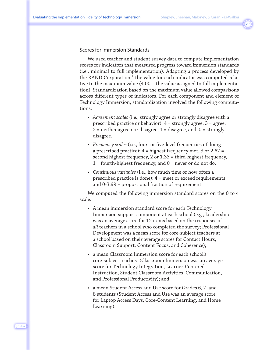#### Scores for Immersion Standards

We used teacher and student survey data to compute implementation scores for indicators that measured progress toward immersion standards (i.e., minimal to full implementation). Adapting a process developed by the RAND Corporation, $1$  the value for each indicator was computed relative to the maximum value (4.00—the value assigned to full implementation). Standardization based on the maximum value allowed comparisons across different types of indicators. For each component and element of Technology Immersion, standardization involved the following computations:

- *Agreement scales* (i.e., strongly agree or strongly disagree with a prescribed practice or behavior): 4 = strongly agree, 3 = agree, 2 = neither agree nor disagree,  $1$  = disagree, and  $0$  = strongly disagree.
- *Frequency scales* (i.e., four- or five-level frequencies of doing a prescribed practice): 4 = highest frequency met, 3 or 2.67 = second highest frequency, 2 or 1.33 = third-highest frequency, 1 = fourth-highest frequency, and 0 = never or do not do.
- *Continuous variables* (i.e., how much time or how often a prescribed practice is done): 4 = meet or exceed requirements, and 0-3.99 = proportional fraction of requirement.

We computed the following immersion standard scores on the 0 to 4 scale.

- A mean immersion standard score for each Technology Immersion support component at each school (e.g., Leadership was an average score for 12 items based on the responses of *all* teachers in a school who completed the survey; Professional Development was a mean score for core-subject teachers at a school based on their average scores for Contact Hours, Classroom Support, Content Focus, and Coherence);
- a mean Classroom Immersion score for each school's core-subject teachers (Classroom Immersion was an average score for Technology Integration, Learner-Centered Instruction, Student Classroom Activities, Communication, and Professional Productivity); and
- a mean Student Access and Use score for Grades 6, 7, and 8 students (Student Access and Use was an average score for Laptop Access Days, Core-Content Learning, and Home Learning).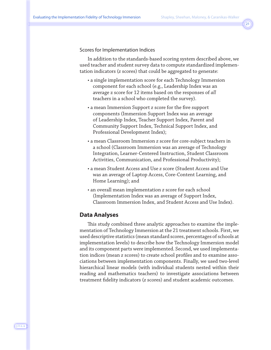#### Scores for Implementation Indices

In addition to the standards-based scoring system described above, we used teacher and student survey data to compute standardized implementation indicators (*z* scores) that could be aggregated to generate:

- a single implementation score for each Technology Immersion component for each school (e.g., Leadership Index was an average z score for 12 items based on the responses of *all* teachers in a school who completed the survey).
- a mean Immersion Support *z* score for the five support components (Immersion Support Index was an average of Leadership Index, Teacher Support Index, Parent and Community Support Index, Technical Support Index, and Professional Development Index);
- a mean Classroom Immersion *z* score for core-subject teachers in a school (Classroom Immersion was an average of Technology Integration, Learner-Centered Instruction, Student Classroom Activities, Communication, and Professional Productivity);
- a mean Student Access and Use *z* score (Student Access and Use was an average of Laptop Access, Core-Content Learning, and Home Learning); and
- an overall mean implementation *z* score for each school (Implementation Index was an average of Support Index, Classroom Immersion Index, and Student Access and Use Index).

#### **Data Analyses**

This study combined three analytic approaches to examine the implementation of Technology Immersion at the 21 treatment schools. First, we used descriptive statistics (mean standard scores, percentages of schools at implementation levels) to describe how the Technology Immersion model and its component parts were implemented. Second, we used implementation indices (mean *z* scores) to create school profiles and to examine associations between implementation components. Finally, we used two-level hierarchical linear models (with individual students nested within their reading and mathematics teachers) to investigate associations between treatment fidelity indicators (*z* scores) and student academic outcomes.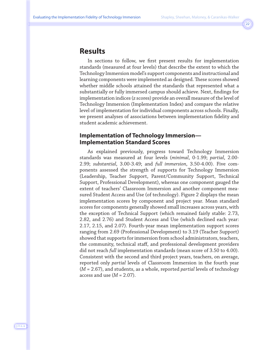### **Results**

In sections to follow, we first present results for implementation standards (measured at four levels) that describe the extent to which the Technology Immersion model's support components and instructional and learning components were implemented as designed. These scores showed whether middle schools attained the standards that represented what a substantially or fully immersed campus should achieve. Next, findings for implementation indices (*z* scores) provide an overall measure of the level of Technology Immersion (Implementation Index) and compare the relative level of implementation for individual components across schools. Finally, we present analyses of associations between implementation fidelity and student academic achievement.

#### **Implementation of Technology Immersion— Implementation Standard Scores**

As explained previously, progress toward Technology Immersion standards was measured at four levels (*minimal*, 0-1.99; *partial*, 2.00- 2.99; *substantial*, 3.00-3.49; and *full immersion*, 3.50-4.00). Five components assessed the strength of supports for Technology Immersion (Leadership, Teacher Support, Parent/Community Support, Technical Support, Professional Development), whereas one component gauged the extent of teachers' Classroom Immersion and another component measured Student Access and Use (of technology). Figure 2 displays the mean implementation scores by component and project year. Mean standard scores for components generally showed small increases across years, with the exception of Technical Support (which remained fairly stable: 2.73, 2.82, and 2.76) and Student Access and Use (which declined each year: 2.17, 2.15, and 2.07). Fourth-year mean implementation support scores ranging from 2.69 (Professional Development) to 3.19 (Teacher Support) showed that supports for immersion from school administrators, teachers, the community, technical staff, and professional development providers did not reach *full* implementation standards (mean score of 3.50 to 4.00). Consistent with the second and third project years, teachers, on average, reported only *partial* levels of Classroom Immersion in the fourth year (*M* = 2.67), and students, as a whole, reported *partial* levels of technology access and use  $(M = 2.07)$ .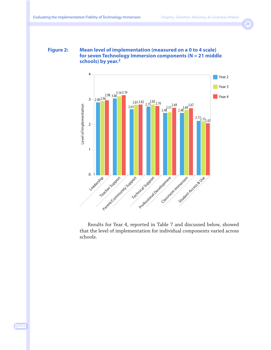#### **Figure 2: Mean level of implementation (measured on a 0 to 4 scale) for seven Technology Immersion components (N = 21 middle schools) by year.2**



Results for Year 4, reported in Table 7 and discussed below, showed that the level of implementation for individual components varied across schools.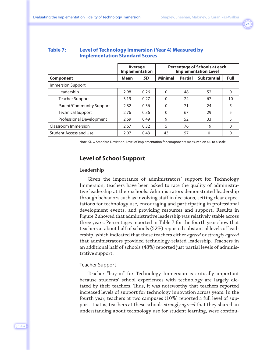|                          |      | Average<br>Implementation | Percentage of Schools at each<br><b>Implementation Level</b> |                |                    |             |  |
|--------------------------|------|---------------------------|--------------------------------------------------------------|----------------|--------------------|-------------|--|
| Component                | Mean | SD                        | <b>Minimal</b>                                               | <b>Partial</b> | <b>Substantial</b> | <b>Full</b> |  |
| <b>Immersion Support</b> |      |                           |                                                              |                |                    |             |  |
| Leadership               | 2.98 | 0.26                      | $\mathbf{0}$                                                 | 48             | 52                 | $\Omega$    |  |
| Teacher Support          | 3.19 | 0.27                      | $\mathbf{0}$                                                 | 24             | 67                 | 10          |  |
| Parent/Community Support | 2.82 | 0.36                      | $\mathbf{0}$                                                 | 71             | 24                 | 5           |  |
| <b>Technical Support</b> | 2.76 | 0.36                      | $\mathbf{0}$                                                 | 67             | 29                 | 5           |  |
| Professional Development | 2.69 | 0.49                      | 9                                                            | 52             | 33                 | 5           |  |
| Classroom Immersion      | 2.67 | 0.32                      | 5                                                            | 76             | 19                 | $\Omega$    |  |
| Student Access and Use   | 2.07 | 0.43                      | 43                                                           | 57             | $\Omega$           | $\Omega$    |  |

#### **Table 7: Level of Technology Immersion (Year 4) Measured by Implementation Standard Scores**

Note. SD = Standard Deviation. Level of implementation for components measured on a 0 to 4 scale.

#### **Level of School Support**

#### Leadership

Given the importance of administrators' support for Technology Immersion, teachers have been asked to rate the quality of administrative leadership at their schools. Administrators demonstrated leadership through behaviors such as involving staff in decisions, setting clear expectations for technology use, encouraging and participating in professional development events, and providing resources and support. Results in Figure 2 showed that administrative leadership was relatively stable across three years. Percentages reported in Table 7 for the fourth year show that teachers at about half of schools (52%) reported substantial levels of leadership, which indicated that these teachers either *agreed* or *strongly agreed* that administrators provided technology-related leadership. Teachers in an additional half of schools (48%) reported just partial levels of administrative support.

#### Teacher Support

Teacher "buy-in" for Technology Immersion is critically important because students' school experiences with technology are largely dictated by their teachers. Thus, it was noteworthy that teachers reported increased levels of support for technology innovation across years. In the fourth year, teachers at two campuses (10%) reported a full level of support. That is, teachers at these schools *strongly agreed* that they shared an understanding about technology use for student learning, were continu-

J·T·L·A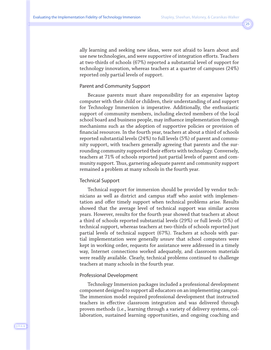ally learning and seeking new ideas, were not afraid to learn about and use new technologies, and were supportive of integration efforts. Teachers at two-thirds of schools (67%) reported a substantial level of support for technology innovation, whereas teachers at a quarter of campuses (24%) reported only partial levels of support.

#### Parent and Community Support

Because parents must share responsibility for an expensive laptop computer with their child or children, their understanding of and support for Technology Immersion is imperative. Additionally, the enthusiastic support of community members, including elected members of the local school board and business people, may influence implementation through mechanisms such as the adoption of supportive policies or provision of financial resources. In the fourth year, teachers at about a third of schools reported substantial levels (24%) to full levels (5%) of parent and community support, with teachers generally agreeing that parents and the surrounding community supported their efforts with technology. Conversely, teachers at 71% of schools reported just partial levels of parent and community support. Thus, garnering adequate parent and community support remained a problem at many schools in the fourth year.

#### Technical Support

Technical support for immersion should be provided by vendor technicians as well as district and campus staff who assist with implementation and offer timely support when technical problems arise. Results showed that the average level of technical support was similar across years. However, results for the fourth year showed that teachers at about a third of schools reported substantial levels (29%) or full levels (5%) of technical support, whereas teachers at two-thirds of schools reported just partial levels of technical support (67%). Teachers at schools with partial implementation were generally *unsure* that school computers were kept in working order, requests for assistance were addressed in a timely way, Internet connections worked adequately, and classroom materials were readily available. Clearly, technical problems continued to challenge teachers at many schools in the fourth year.

#### Professional Development

Technology Immersion packages included a professional development component designed to support all educators on an implementing campus. The immersion model required professional development that instructed teachers in effective classroom integration and was delivered through proven methods (i.e., learning through a variety of delivery systems, collaboration, sustained learning opportunities, and ongoing coaching and

J·T·L·A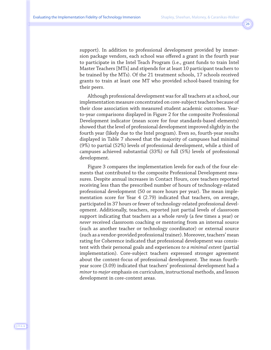support). In addition to professional development provided by immersion package vendors, each school was offered a grant in the fourth year to participate in the Intel Teach Program (i.e., grant funds to train Intel Master Teachers [MTs] and stipends for at least 10 participant teachers to be trained by the MTs). Of the 21 treatment schools, 17 schools received grants to train at least one MT who provided school-based training for their peers.

Although professional development was for all teachers at a school, our implementation measure concentrated on core-subject teachers because of their close association with measured student academic outcomes. Yearto-year comparisons displayed in Figure 2 for the composite Professional Development indicator (mean score for four standards-based elements) showed that the level of professional development improved slightly in the fourth year (likely due to the Intel program). Even so, fourth-year results displayed in Table 7 showed that the majority of campuses had minimal (9%) to partial (52%) levels of professional development, while a third of campuses achieved substantial (33%) or full (5%) levels of professional development.

Figure 3 compares the implementation levels for each of the four elements that contributed to the composite Professional Development measures. Despite annual increases in Contact Hours, core teachers reported receiving less than the prescribed number of hours of technology-related professional development (50 or more hours per year). The mean implementation score for Year 4 (2.79) indicated that teachers, on average, participated in 37 hours or fewer of technology-related professional development. Additionally, teachers, reported just partial levels of classroom support indicating that teachers as a whole *rarely* (a few times a year) or *never* received classroom coaching or mentoring from an internal source (such as another teacher or technology coordinator) or external source (such as a vendor-provided professional trainer). Moreover, teachers' mean rating for Coherence indicated that professional development was consistent with their personal goals and experiences *to a minimal extent* (partial implementation). Core-subject teachers expressed stronger agreement about the content-focus of professional development. The mean fourthyear score (3.09) indicated that teachers' professional development had a *minor* to *major* emphasis on curriculum, instructional methods, and lesson development in core-content areas.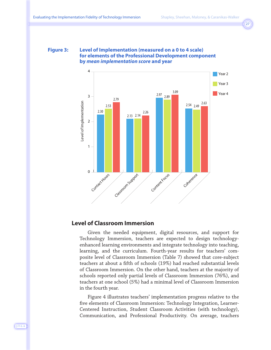#### **Figure 3: Level of Implementation (measured on a 0 to 4 scale) for elements of the Professional Development component by** *mean implementation score* **and year**



#### **Level of Classroom Immersion**

Given the needed equipment, digital resources, and support for Technology Immersion, teachers are expected to design technologyenhanced learning environments and integrate technology into teaching, learning, and the curriculum. Fourth-year results for teachers' composite level of Classroom Immersion (Table 7) showed that core-subject teachers at about a fifth of schools (19%) had reached substantial levels of Classroom Immersion. On the other hand, teachers at the majority of schools reported only partial levels of Classroom Immersion (76%), and teachers at one school (5%) had a minimal level of Classroom Immersion in the fourth year.

Figure 4 illustrates teachers' implementation progress relative to the five elements of Classroom Immersion: Technology Integration, Learner-Centered Instruction, Student Classroom Activities (with technology), Communication, and Professional Productivity. On average, teachers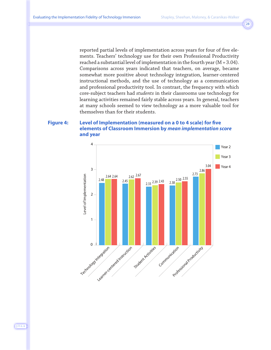reported partial levels of implementation across years for four of five elements. Teachers' technology use for their own Professional Productivity reached a substantial level of implementation in the fourth year (M = 3.04). Comparisons across years indicated that teachers, on average, became somewhat more positive about technology integration, learner-centered instructional methods, and the use of technology as a communication and professional productivity tool. In contrast, the frequency with which core-subject teachers had *students* in their classrooms use technology for learning activities remained fairly stable across years. In general, teachers at many schools seemed to view technology as a more valuable tool for themselves than for their students.

#### **Figure 4: Level of Implementation (measured on a 0 to 4 scale) for five elements of Classroom Immersion by** *mean implementation score* **and year**



J·T·L·A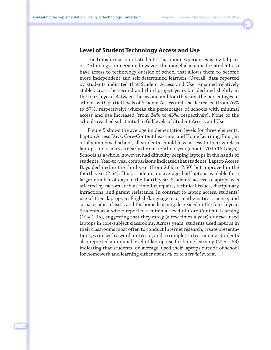#### **Level of Student Technology Access and Use**

The transformation of students' classroom experiences is a vital part of Technology Immersion; however, the model also aims for students to have access to technology outside of school that allows them to become more independent and self-determined learners. Overall, data reported by students indicated that Student Access and Use remained relatively stable across the second and third project years but declined slightly in the fourth year. Between the second and fourth years, the percentages of schools with partial levels of Student Access and Use decreased (from 76% to 57%, respectively) whereas the percentages of schools with minimal access and use increased (from 24% to 43%, respectively). None of the schools reached substantial to full levels of Student Access and Use.

Figure 5 shows the average implementation levels for three elements: Laptop Access Days, Core-Content Learning, and Home Learning. First, in a fully immersed school, all students should have access to their wireless laptops and resources nearly the entire school year (about 170 to 180 days). Schools as a whole, however, had difficulty keeping laptops in the hands of students. Year-to-year comparisons indicated that students' Laptop Access Days declined in the third year (from 2.69 to 2.50) but improved in the fourth year (2.64). Thus, students, on average, had laptops available for a larger number of days in the fourth year. Students' access to laptops was affected by factors such as time for repairs, technical issues, disciplinary infractions, and parent resistance. In contrast to laptop access, students' use of their laptops in English/language arts, mathematics, science, and social studies classes and for home learning decreased in the fourth year. Students as a whole reported a minimal level of Core-Content Learning (*M* = 1.95), suggesting that they *rarely* (a few times a year) or *never* used laptops in core-subject classrooms. Across years, students used laptops in their classrooms most often to conduct Internet research, create presentations, write with a word processor, and to complete a test or quiz. Students also reported a minimal level of laptop use for home learning (*M* = 1.63) indicating that students, on average, used their laptops outside of school for homework and learning either *not at all* or *to a trivial extent*.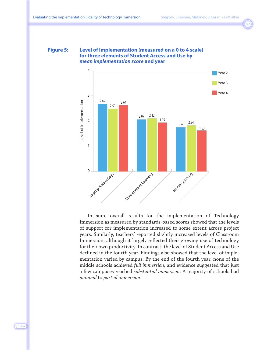#### **Figure 5: Level of Implementation (measured on a 0 to 4 scale) for three elements of Student Access and Use by**  *mean implementation score* **and year**



In sum, overall results for the implementation of Technology Immersion as measured by standards-based scores showed that the levels of support for implementation increased to some extent across project years. Similarly, teachers' reported slightly increased levels of Classroom Immersion, although it largely reflected their growing use of technology for their own productivity. In contrast, the level of Student Access and Use declined in the fourth year. Findings also showed that the level of implementation varied by campus. By the end of the fourth year, none of the middle schools achieved *full immersion*, and evidence suggested that just a few campuses reached *substantial immersion*. A majority of schools had *minimal* to *partial immersion*.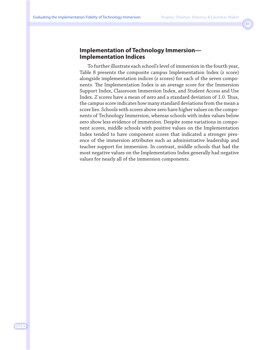#### **Implementation of Technology Immersion— Implementation Indices**

To further illustrate each school's level of immersion in the fourth year, Table 8 presents the composite campus Implementation Index (*z* score) alongside implementation indices (*z* scores) for each of the seven components. The Implementation Index is an average score for the Immersion Support Index, Classroom Immersion Index, and Student Access and Use Index. *Z* scores have a mean of zero and a standard deviation of 1.0. Thus, the campus score indicates how many standard deviations from the mean a score lies. Schools with scores above zero have higher values on the components of Technology Immersion, whereas schools with index values below zero show less evidence of immersion. Despite some variations in component scores, middle schools with positive values on the Implementation Index tended to have component scores that indicated a stronger presence of the immersion attributes such as administrative leadership and teacher support for immersion. In contrast, middle schools that had the most negative values on the Implementation Index generally had negative values for nearly all of the immersion components.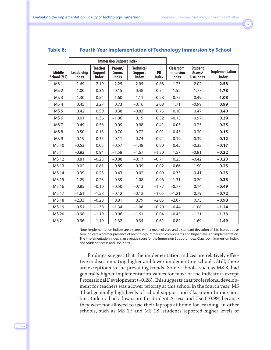#### **Table 8: Fourth-Year Implementation of Technology Immersion by School**

|                              |                            |                                                  | <b>Immersion Support Index</b>   |                                                    |                           |                                               |                                               |                                |
|------------------------------|----------------------------|--------------------------------------------------|----------------------------------|----------------------------------------------------|---------------------------|-----------------------------------------------|-----------------------------------------------|--------------------------------|
| <b>Middle</b><br>School (MS) | Leadership<br><b>Index</b> | <b>Teacher</b><br><b>Support</b><br><b>Index</b> | Parent/<br>Comm.<br><b>Index</b> | <b>Technical</b><br><b>Support</b><br><b>Index</b> | <b>PD</b><br><b>Index</b> | Classroom<br><b>Immersion</b><br><b>Index</b> | <b>Student</b><br>Access/<br><b>Use Index</b> | Implementation<br><b>Index</b> |
| MS <sub>1</sub>              | 1.69                       | 2.19                                             | 2.25                             | 2.05                                               | 0.88                      | 1.23                                          | 2.02                                          | 2.58                           |
| MS <sub>2</sub>              | 1.00                       | 0.36                                             | 0.15                             | 0.48                                               | 0.54                      | 1.52                                          | 1.77                                          | 1.78                           |
| MS <sub>3</sub>              | 1.30                       | 0.54                                             | 1.60                             | 1.11                                               | $-0.28$                   | 0.75                                          | 0.49                                          | 1.08                           |
| MS <sub>4</sub>              | 0.45                       | 2.27                                             | 0.73                             | $-0.16$                                            | 2.08                      | 1.71                                          | $-0.99$                                       | 0.99                           |
| MS <sub>5</sub>              | 0.42                       | 0.50                                             | 0.38                             | $-0.83$                                            | 0.75                      | 0.10                                          | 0.47                                          | 0.40                           |
| MS <sub>6</sub>              | 0.01                       | 0.36                                             | $-1.06$                          | 0.19                                               | 0.52                      | $-0.13$                                       | 0.97                                          | 0.39                           |
| MS <sub>7</sub>              | 0.49                       | $-0.56$                                          | $-0.09$                          | 0.98                                               | 0.41                      | $-0.05$                                       | 0.25                                          | 0.25                           |
| MS <sub>8</sub>              | 0.50                       | 0.13                                             | 0.70                             | 0.72                                               | 0.01                      | $-0.45$                                       | 0.20                                          | 0.15                           |
| MS <sub>9</sub>              | $-0.19$                    | 0.35                                             | $-0.11$                          | $-0.74$                                            | 0.94                      | $-0.19$                                       | 0.39                                          | 0.12                           |
| <b>MS10</b>                  | $-0.53$                    | 0.03                                             | $-0.57$                          | $-1.48$                                            | 0.80                      | 0.45                                          | $-0.33$                                       | $-0.17$                        |
| <b>MS11</b>                  | $-0.83$                    | 0.94                                             | $-1.58$                          | $-1.67$                                            | $-1.30$                   | 1.57                                          | $-0.81$                                       | $-0.22$                        |
| MS 12                        | 0.81                       | $-0.23$                                          | $-0.88$                          | $-0.17$                                            | $-0.71$                   | 0.25                                          | $-0.42$                                       | $-0.23$                        |
| <b>MS13</b>                  | $-0.02$                    | $-0.81$                                          | 0.85                             | 0.95                                               | $-0.02$                   | 0.66                                          | $-1.50$                                       | $-0.25$                        |
| <b>MS14</b>                  | 0.39                       | $-0.23$                                          | 0.43                             | $-0.02$                                            | 0.09                      | $-0.35$                                       | $-0.41$                                       | $-0.25$                        |
| <b>MS15</b>                  | $-1.29$                    | $-0.23$                                          | 0.39                             | 1.08                                               | 0.96                      | $-1.31$                                       | 0.20                                          | $-0.38$                        |
| MS 16                        | 0.85                       | $-0.10$                                          | $-0.50$                          | $-0.13$                                            | $-1.77$                   | $-0.77$                                       | 0.14                                          | $-0.49$                        |
| <b>MS17</b>                  | $-1.61$                    | $-1.58$                                          | $-0.12$                          | $-0.12$                                            | $-1.05$                   | $-1.21$                                       | 0.79                                          | $-0.72$                        |
| <b>MS18</b>                  | $-2.33$                    | $-0.28$                                          | 0.81                             | 0.79                                               | $-2.05$                   | $-2.07$                                       | 0.73                                          | $-0.98$                        |
| <b>MS19</b>                  | $-0.51$                    | $-1.38$                                          | $-1.34$                          | $-1.08$                                            | $-0.20$                   | $-0.44$                                       | $-1.08$                                       | $-1.24$                        |
| MS 20                        | $-0.98$                    | $-1.19$                                          | $-0.96$                          | $-1.61$                                            | 0.04                      | $-0.45$                                       | $-1.21$                                       | $-1.33$                        |
| MS 21                        | 0.36                       | $-1.10$                                          | $-1.32$                          | $-0.34$                                            | $-0.61$                   | $-0.82$                                       | $-1.69$                                       | $-1.49$                        |

Note. Implementation indices are z scores with a mean of zero and a standard deviation of 1.0. Scores above zero indicate a greater presence of Technology Immersion components and higher levels of implementation. The Implementation Index is an average score for the Immersion Support Index, Classroom Immersion Index, and Student Access and Use Index.

Findings suggest that the implementation indices are relatively effective in discriminating higher and lower implementing schools. Still, there are exceptions to the prevailing trends. Some schools, such as MS 3, had generally higher implementation values for most of the indicators except Professional Development (–0.28). This suggests that professional development for teachers was a lower priority at this school in the fourth year. MS 4 had generally high levels of school support and Classroom Immersion, but students had a low score for Student Access and Use (–0.99) because they were not allowed to use their laptops at home for learning. In other schools, such as MS 17 and MS 18, students reported higher levels of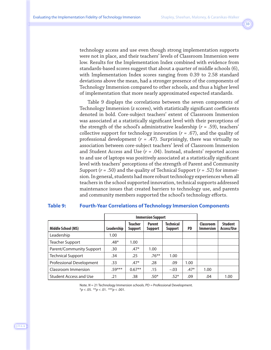technology access and use even though strong implementation supports were not in place, and their teachers' levels of Classroom Immersion were low. Results for the Implementation Index combined with evidence from standards-based scores suggest that about a quarter of middle schools (6), with Implementation Index scores ranging from 0.39 to 2.58 standard deviations above the mean, had a stronger presence of the components of Technology Immersion compared to other schools, and thus a higher level of implementation that more nearly approximated expected standards.

Table 9 displays the correlations between the seven components of Technology Immersion (*z* scores), with statistically significant coefficients denoted in bold. Core-subject teachers' extent of Classroom Immersion was associated at a statistically significant level with their perceptions of the strength of the school's administrative leadership (*r* = .59), teachers' collective support for technology innovation  $(r = .67)$ , and the quality of professional development (*r* = .47). Surprisingly, there was virtually no association between core-subject teachers' level of Classroom Immersion and Student Access and Use (*r* = .04). Instead, students' reported access to and use of laptops was positively associated at a statistically significant level with teachers' perceptions of the strength of Parent and Community Support (*r* = .50) and the quality of Technical Support (*r* = .52) for immersion. In general, students had more robust technology experiences when all teachers in the school supported innovation, technical supports addressed maintenance issues that created barriers to technology use, and parents and community members supported the school's technology efforts.

#### **Table 9: Fourth-Year Correlations of Technology Immersion Components**

|                               |                  | <b>Immersion Support</b>  |                          |                      |           |                               |                              |
|-------------------------------|------------------|---------------------------|--------------------------|----------------------|-----------|-------------------------------|------------------------------|
| Middle School (MS)            | Leadership       | <b>Teacher</b><br>Support | <b>Parent</b><br>Support | Technical<br>Support | <b>PD</b> | Classroom<br><b>Immersion</b> | <b>Student</b><br>Access/Use |
| Leadership                    | 1.00             |                           |                          |                      |           |                               |                              |
| <b>Teacher Support</b>        | $.48*$           | 1.00                      |                          |                      |           |                               |                              |
| Parent/Community Support      | .30              | $.47*$                    | 1.00                     |                      |           |                               |                              |
| <b>Technical Support</b>      | .34              | .25                       | $.76***$                 | 1.00                 |           |                               |                              |
| Professional Development      | .33 <sub>1</sub> | $.47*$                    | .28                      | .09                  | 1.00      |                               |                              |
| Classroom Immersion           | $.59***$         | $0.67**$                  | .15                      | $-.03$               | $.47*$    | 1.00                          |                              |
| <b>Student Access and Use</b> | .21              | .38                       | $.50*$                   | $.52*$               | .09       | .04                           | 1.00                         |

Note. *N* = 21 Technology Immersion schools. PD = Professional Development. \**p* < .05. \*\**p* < .01. \*\*\**p* < .001.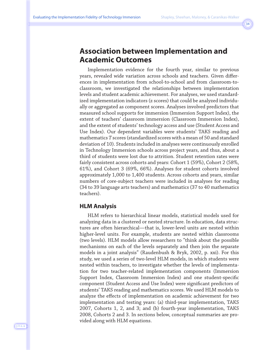### **Association between Implementation and Academic Outcomes**

Implementation evidence for the fourth year, similar to previous years, revealed wide variation across schools and teachers. Given differences in implementation from school-to-school and from classroom-toclassroom, we investigated the relationships between implementation levels and student academic achievement. For analyses, we used standardized implementation indicators (z scores) that could be analyzed individually or aggregated as component scores. Analyses involved predictors that measured school supports for immersion (Immersion Support Index), the extent of teachers' classroom immersion (Classroom Immersion Index), and the extent of students' technology access and use (Student Access and Use Index). Our dependent variables were students' TAKS reading and mathematics *T* scores (standardized scores with a mean of 50 and standard deviation of 10). Students included in analyses were continuously enrolled in Technology Immersion schools across project years, and thus, about a third of students were lost due to attrition. Student retention rates were fairly consistent across cohorts and years: Cohort 1 (59%), Cohort 2 (58%, 61%), and Cohort 3 (69%, 66%). Analyses for student cohorts involved approximately 1,000 to 1,400 students. Across cohorts and years, similar numbers of core-subject teachers were included in analyses for reading (34 to 39 language arts teachers) and mathematics (37 to 40 mathematics teachers).

#### **HLM Analysis**

HLM refers to hierarchical linear models, statistical models used for analyzing data in a clustered or nested structure. In education, data structures are often hierarchical—that is, lower-level units are nested within higher-level units. For example, students are nested within classrooms (two levels). HLM models allow researchers to "think about the possible mechanisms on each of the levels separately and then join the separate models in a joint analysis" (Raudenbush & Bryk, 2002, p. xxi). For this study, we used a series of two-level HLM models, in which students were nested within teachers, to investigate whether the levels of implementation for two teacher-related implementation components (Immersion Support Index, Classroom Immersion Index) and one student-specific component (Student Access and Use Index) were significant predictors of students' TAKS reading and mathematics scores. We used HLM models to analyze the effects of implementation on academic achievement for two implementation and testing years: (a) third-year implementation, TAKS 2007, Cohorts 1, 2, and 3; and (b) fourth-year implementation, TAKS 2008, Cohorts 2 and 3. In sections below, conceptual summaries are provided along with HLM equations.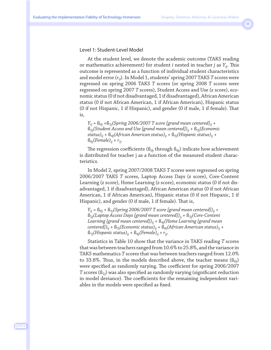#### Level 1: Student-Level Model

At the student level, we denote the academic outcome (TAKS reading or mathematics achievement) for student *i* nested in teacher *j* as *Yij*. This outcome is represented as a function of individual student characteristics and model error (*rij*). In Model 1, students' spring 2007 TAKS *T* scores were regressed on spring 2006 TAKS *T* scores (or spring 2008 *T* scores were regressed on spring 2007 *T* scores), Student Access and Use (*z* score), economic status (0 if not disadvantaged, 1 if disadvantaged), African American status (0 if not African American, 1 if African American), Hispanic status (0 if not Hispanic, 1 if Hispanic), and gender (0 if male, 1 if female). That is,

 $Y_{ij} = \mathbb{S}_{0j} + \mathbb{S}_{1j}$ (Spring 2006/2007 T score [grand mean centered]<sub>ij</sub> +  $B_{2i}$ (Student Access and Use [grand mean centered])<sub>ii</sub> +  $B_{3i}$ (*Economic status)ij* + ß*4j(African American status)ij* + ß*5j(Hispanic status)ij* +  $\mathcal{B}_{6j}$ (*Female*)<sub>ij</sub> +  $r_{ij}$ .

The regression coefficients (ß*0j* through ß*6j*) indicate how achievement is distributed for teacher j as a function of the measured student characteristics.

In Model 2, spring 2007/2008 TAKS *T* scores were regressed on spring 2006/2007 TAKS *T* scores, Laptop Access Days (*z* score), Core-Content Learning (*z* score), Home Learning (*z* score), economic status (0 if not disadvantaged, 1 if disadvantaged), African American status (0 if not African American, 1 if African American), Hispanic status (0 if not Hispanic, 1 if Hispanic), and gender (0 if male, 1 if female). That is,

 $Y_{ii} = \text{fs}_{0i} + \text{fs}_{1i}$ (Spring 2006/2007 T score [grand mean centered])<sub>ii</sub> + ß*2j(Laptop Access Days [grand mean centered])ij* + ß*3j(Core-Content Learning [grand mean centered])ij* + ß*4j(Home Learning [grand mean centered])ij* + ß*5j(Economic status)ij* + ß*6j(African American status)ij* +  $\mathbb{S}_{7j}(Hispanic status)_{ij} + \mathbb{S}_{8j}(Female)_{ij} + r_{ij}.$ 

Statistics in Table 10 show that the variance in TAKS reading *T* scores that was between teachers ranged from 10.6% to 25.8%, and the variance in TAKS mathematics *T* scores that was between teachers ranged from 12.0% to 33.8%. Thus, in the models described above, the teacher means (ß*0j*) were specified as randomly varying. The coefficient for spring 2006/2007 *T* scores (ß*1j*) was also specified as randomly varying (significant reduction in model deviance). The coefficients for the remaining independent variables in the models were specified as fixed.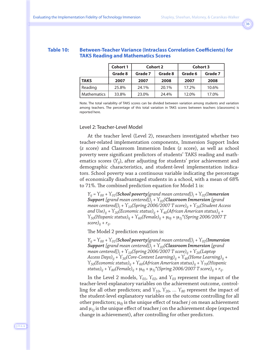#### **Table 10: Between-Teacher Variance (Intraclass Correlation Coefficients) for TAKS Reading and Mathematics Scores**

|                    | <b>Cohort 1</b> | <b>Cohort 2</b> |         | <b>Cohort 3</b> |         |  |
|--------------------|-----------------|-----------------|---------|-----------------|---------|--|
|                    | Grade 8         | Grade 7         | Grade 8 | Grade 6         | Grade 7 |  |
| <b>TAKS</b>        | 2007            | 2007            | 2008    | 2007            | 2008    |  |
| Reading            | 25.8%           | 24.1%           | 20.1%   | 17.2%           | 10.6%   |  |
| <b>Mathematics</b> | 33.8%           | 23.0%           | 24.4%   | 12.0%           | 17.0%   |  |

Note. The total variability of TAKS scores can be divided between variation among students and variation among teachers. The percentage of this total variation in TAKS scores between teachers (classrooms) is reported here.

#### Level 2: Teacher-Level Model

At the teacher level (Level 2), researchers investigated whether two teacher-related implementation components, Immersion Support Index (*z* score) and Classroom Immersion Index (*z* score), as well as school poverty were significant predictors of students' TAKS reading and mathematics scores (*Yij*), after adjusting for students' prior achievement and demographic characteristics, and student-level implementation indicators. School poverty was a continuous variable indicating the percentage of economically disadvantaged students in a school, with a mean of 68% to 71%. The combined prediction equation for Model 1 is:

*Yij* = ϒ*00* + ϒ*01(School poverty[grand mean centered])j +* ϒ*02(Immersion Support [grand mean centered])j* + ϒ*03(Classroom Immersion [grand mean centered])j* + ϒ*10(Spring 2006/2007 T score)ij* + ϒ*20(Student Access*  and Use)<sub>ii</sub> +  $\Upsilon_{30}$ (Economic status)<sub>ii</sub> +  $\Upsilon_{40}$ (African American status)<sub>ii</sub> + ϒ*50(Hispanic status)i*<sup>j</sup> + ϒ*60(Female)ij* + μ*0j* + μ*1j\*(Spring 2006/2007 T*   $score)_{ij} + r_{ij}$ .

The Model 2 prediction equation is:

*Yij* = ϒ*00* + ϒ*01(School poverty[grand mean centered])j* + ϒ*02(Immersion Support [grand mean centered])j* + ϒ*03(Classroom Immersion [grand mean centered])j* + ϒ*10(Spring 2006/2007 T score)ij* + ϒ*20(Laptop Access Days)ij* + ϒ*30(Core-Content Learning)ij* + ϒ*40(Home Learning)ij* +  $\Upsilon_{50}$ (Economic status)<sub>ij</sub> +  $\Upsilon_{60}$ (African American status)<sub>ij</sub> +  $\Upsilon_{70}$ (Hispanic  $\sigma$ status)<sub>ij</sub> +  $\Upsilon_{80}$ (Female)<sub>ij</sub> +  $\mu_{0j}$  +  $\mu_{1j}$ \*(Spring 2006/2007 T score)<sub>ij</sub> + r<sub>ij</sub>.

In the Level 2 models,  $Y_{01}$ ,  $Y_{02}$ , and  $Y_{03}$  represent the impact of the teacher-level explanatory variables on the achievement outcome, controlling for all other predictors; and ϒ*10*, ϒ*20*, … ϒ*80* represent the impact of the student-level explanatory variables on the outcome controlling for all other predictors; μ*0j* is the unique effect of teacher *j* on mean achievement and μ*1j* is the unique effect of teacher *j* on the achievement slope (expected change in achievement), after controlling for other predictors.

J·T·L·A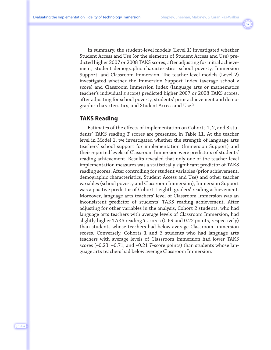In summary, the student-level models (Level 1) investigated whether Student Access and Use (or the elements of Student Access and Use) predicted higher 2007 or 2008 TAKS scores, after adjusting for initial achievement, student demographic characteristics, school poverty, Immersion Support, and Classroom Immersion. The teacher-level models (Level 2) investigated whether the Immersion Support Index (average school *z* score) and Classroom Immersion Index (language arts or mathematics teacher's individual *z* score) predicted higher 2007 or 2008 TAKS scores, after adjusting for school poverty, students' prior achievement and demographic characteristics, and Student Access and Use.<sup>3</sup>

#### **TAKS Reading**

Estimates of the effects of implementation on Cohorts 1, 2, and 3 students' TAKS reading *T* scores are presented in Table 11. At the teacher level in Model 1, we investigated whether the strength of language arts teachers' school support for implementation (Immersion Support) and their reported levels of Classroom Immersion were predictors of students' reading achievement. Results revealed that only one of the teacher-level implementation measures was a statistically significant predictor of TAKS reading scores. After controlling for student variables (prior achievement, demographic characteristics, Student Access and Use) and other teacher variables (school poverty and Classroom Immersion), Immersion Support was a positive predictor of Cohort 1 eighth graders' reading achievement. Moreover, language arts teachers' level of Classroom Immersion was an inconsistent predictor of students' TAKS reading achievement. After adjusting for other variables in the analysis, Cohort 2 students, who had language arts teachers with average levels of Classroom Immersion, had slightly higher TAKS reading *T* scores (0.69 and 0.22 points, respectively) than students whose teachers had below average Classroom Immersion scores. Conversely, Cohorts 1 and 3 students who had language arts teachers with average levels of Classroom Immersion had lower TAKS scores (–0.23, –0.71, and –0.21 *T*-score points) than students whose language arts teachers had below average Classroom Immersion.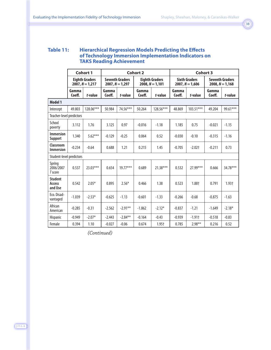#### **Table 11: Hierarchical Regression Models Predicting the Effects of Technology Immersion Implementation Indicators on TAKS Reading Achievement**

|                                       | <b>Cohort 1</b> |                                            |                                                                                           |            | <b>Cohort 2</b>                           |            |                                             | <b>Cohort 3</b> |                 |          |  |
|---------------------------------------|-----------------|--------------------------------------------|-------------------------------------------------------------------------------------------|------------|-------------------------------------------|------------|---------------------------------------------|-----------------|-----------------|----------|--|
|                                       |                 | <b>Eighth Graders</b><br>$2007, N = 1,217$ | <b>Seventh Graders</b><br><b>Eighth Graders</b><br>$2007, N = 1,297$<br>$2008, N = 1,101$ |            | <b>Sixth Graders</b><br>$2007, N = 1,606$ |            | <b>Seventh Graders</b><br>$2008, N = 1,168$ |                 |                 |          |  |
|                                       | Gamma<br>Coeff. | t-value                                    | Gamma<br>Coeff.                                                                           | t-value    | Gamma<br>Coeff.                           | t-value    | Gamma<br>Coeff.                             | t-value         | Gamma<br>Coeff. | t-value  |  |
| Model 1                               |                 |                                            |                                                                                           |            |                                           |            |                                             |                 |                 |          |  |
| Intercept                             | 49.803          | 128.06***                                  | 50.984                                                                                    | 74.56***   | 50.264                                    | 128.56***  | 48.869                                      | $103.51***$     | 49.204          | 99.61*** |  |
| Teacher-level predictors              |                 |                                            |                                                                                           |            |                                           |            |                                             |                 |                 |          |  |
| School<br>poverty                     | 3.112           | 1.76                                       | 3.125                                                                                     | 0.97       | $-0.016$                                  | $-1.18$    | 1.185                                       | 0.75            | $-0.021$        | $-1.15$  |  |
| <b>Immersion</b><br><b>Support</b>    | 1.340           | $5.62***$                                  | $-0.129$                                                                                  | $-0.25$    | 0.064                                     | 0.52       | $-0.030$                                    | $-0.10$         | $-0.315$        | $-1.16$  |  |
| Classroom<br><b>Immersion</b>         | $-0.234$        | $-0.64$                                    | 0.688                                                                                     | 1.21       | 0.215                                     | 1.45       | $-0.705$                                    | $-2.02$ t       | $-0.211$        | 0.73     |  |
| Student-level predictors              |                 |                                            |                                                                                           |            |                                           |            |                                             |                 |                 |          |  |
| Spring<br>2006/2007<br><b>T</b> score | 0.537           | $23.03***$                                 | 0.654                                                                                     | $19.77***$ | 0.689                                     | $21.38***$ | 0.532                                       | 27.99***        | 0.666           | 34.78*** |  |
| <b>Student</b><br>Access<br>and Use   | 0.542           | $2.05*$                                    | 0.895                                                                                     | $2.56*$    | 0.466                                     | 1.38       | 0.523                                       | 1.88+           | 0.791           | $1.93+$  |  |
| Eco. Disad-<br>vantaged               | $-1.039$        | $-2.53*$                                   | $-0.625$                                                                                  | $-1.13$    | $-0.601$                                  | $-1.33$    | $-0.266$                                    | $-0.68$         | $-0.875$        | $-1.63$  |  |
| African<br>American                   | $-0.285$        | $-0.31$                                    | $-2.562$                                                                                  | $-2.91**$  | $-1.862$                                  | $-2.12*$   | $-0.837$                                    | $-1.21$         | $-1.649$        | $-2.18*$ |  |
| Hispanic                              | $-0.949$        | $-2.07*$                                   | $-2.443$                                                                                  | $-2.84***$ | $-0.164$                                  | $-0.43$    | $-0.939$                                    | $-1.91$         | $-0.518$        | $-0.83$  |  |
| Female                                | 0.394           | 1.10                                       | $-0.027$                                                                                  | $-0.06$    | 0.674                                     | $1.95+$    | 0.785                                       | $2.98**$        | 0.216           | 0.52     |  |

*(Continued)*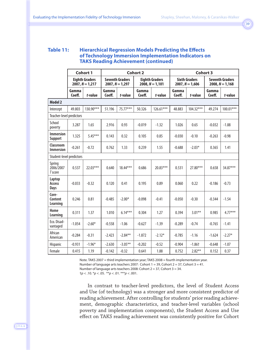#### **Table 11: Hierarchical Regression Models Predicting the Effects of Technology Immersion Implementation Indicators on TAKS Reading Achievement (continued)**

|                                       |                 | <b>Cohort 1</b>                            |                 |                                             | <b>Cohort 2</b> |                                            |                 | <b>Cohort 3</b>                           |                 |                                             |
|---------------------------------------|-----------------|--------------------------------------------|-----------------|---------------------------------------------|-----------------|--------------------------------------------|-----------------|-------------------------------------------|-----------------|---------------------------------------------|
|                                       |                 | <b>Eighth Graders</b><br>$2007, N = 1,217$ |                 | <b>Seventh Graders</b><br>$2007, N = 1,297$ |                 | <b>Eighth Graders</b><br>$2008, N = 1,101$ |                 | <b>Sixth Graders</b><br>$2007, N = 1,606$ |                 | <b>Seventh Graders</b><br>$2008, N = 1,168$ |
|                                       | Gamma<br>Coeff. | t-value                                    | Gamma<br>Coeff. | t-value                                     | Gamma<br>Coeff. | t-value                                    | Gamma<br>Coeff. | t-value                                   | Gamma<br>Coeff. | t-value                                     |
| <b>Model 2</b>                        |                 |                                            |                 |                                             |                 |                                            |                 |                                           |                 |                                             |
| Intercept                             | 49.803          | 130.90***                                  | 51.196          | 75.77***                                    | 50.326          | $126.61***$                                | 48.883          | $104.32***$                               | 49.274          | $100.01***$                                 |
| Teacher-level predictors              |                 |                                            |                 |                                             |                 |                                            |                 |                                           |                 |                                             |
| School<br>poverty                     | 3.287           | 1.65                                       | 2.916           | 0.93                                        | $-0.019$        | $-1.32$                                    | 1.026           | 0.65                                      | $-0.032$        | $-1.88$                                     |
| <b>Immersion</b><br><b>Support</b>    | 1.325           | $5.45***$                                  | 0.143           | 0.32                                        | 0.105           | 0.85                                       | $-0.030$        | $-0.10$                                   | $-0.263$        | $-0.98$                                     |
| <b>Classroom</b><br><b>Immersion</b>  | $-0.261$        | $-0.72$                                    | 0.762           | 1.33                                        | 0.239           | 1.55                                       | $-0.688$        | $-2.03*$                                  | 0.365           | 1.41                                        |
| Student-level predictors              |                 |                                            |                 |                                             |                 |                                            |                 |                                           |                 |                                             |
| Spring<br>2006/2007<br><b>T</b> score | 0.537           | 22.03***                                   | 0.640           | 18.44***                                    | 0.686           | 20.83***                                   | 0.531           | 27.80***                                  | 0.658           | 34.87***                                    |
| Laptop<br>Access<br>Days              | $-0.033$        | $-0.32$                                    | 0.120           | 0.41                                        | 0.195           | 0.89                                       | 0.060           | 0.22                                      | $-0.186$        | $-0.73$                                     |
| Core-<br>Content<br>Learning          | 0.246           | 0.81                                       | $-0.485$        | $-2.00*$                                    | $-0.098$        | $-0.41$                                    | $-0.050$        | $-0.30$                                   | $-0.344$        | $-1.54$                                     |
| Home<br>Learning                      | 0.311           | 1.37                                       | 1.010           | $6.14***$                                   | 0.304           | 1.27                                       | 0.394           | $3.01***$                                 | 0.985           | $4.77***$                                   |
| Eco. Disad-<br>vantaged               | $-1.054$        | $-2.60*$                                   | $-0.558$        | $-1.06$                                     | $-0.627$        | $-1.39$                                    | $-0.289$        | $-0.74$                                   | $-0.765$        | $-1.41$                                     |
| African<br>American                   | $-0.284$        | $-0.31$                                    | $-2.423$        | $-2.84**$                                   | $-1.872$        | $-2.12*$                                   | $-0.785$        | $-1.16$                                   | $-1.624$        | $-2.27*$                                    |
| <b>Hispanic</b>                       | $-0.931$        | $-1.96*$                                   | $-2.630$        | $-3.05**$                                   | $-0.202$        | $-0.52$                                    | $-0.904$        | $-1.86$ <sup>+</sup>                      | $-0.648$        | $-1.07$                                     |
| Female                                | 0.415           | 1.19                                       | $-0.142$        | $-0.32$                                     | 0.641           | 1.88                                       | 0.752           | $2.82**$                                  | 0.152           | 0.37                                        |

Note. TAKS 2007 = third implementation year; TAKS 2008 = fourth implementation year. Number of language arts teachers 2007: Cohort 1 = 39, Cohort 2 = 37, Cohort 3 = 41.

Number of language arts teachers 2008: Cohort 2 = 37, Cohort 3 = 34.

†*p* < .10. \**p* < .05. \*\**p* < .01. \*\*\**p* < .001.

In contrast to teacher-level predictors, the level of Student Access and Use (of technology) was a stronger and more consistent predictor of reading achievement. After controlling for students' prior reading achievement, demographic characteristics, and teacher-level variables (school poverty and implementation components), the Student Access and Use effect on TAKS reading achievement was consistently positive for Cohort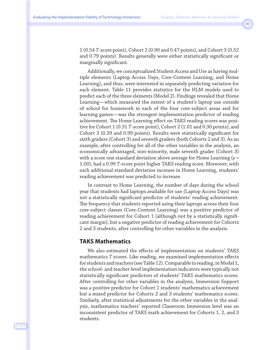1 (0.54 *T*-score point), Cohort 2 (0.90 and 0.47 points), and Cohort 3 (0.52 and 0.79 points). Results generally were either statistically significant or marginally significant.

Additionally, we conceptualized Student Access and Use as having multiple elements (Laptop Access Days, Core-Content Learning, and Home Learning), and thus, were interested in separately predicting variation for each element. Table 11 provides statistics for the HLM models used to predict each of the three elements (Model 2). Findings revealed that Home Learning—which measured the extent of a student's laptop use outside of school for homework in each of the four core-subject areas and for learning games—was the strongest implementation predictor of reading achievement. The Home Learning effect on TAKS reading scores was positive for Cohort 1 (0.31 *T*-score point), Cohort 2 (1.01 and 0.30 points), and Cohort 3 (0.39 and 0.99 points). Results were statistically significant for sixth graders (Cohort 3) and seventh graders (both Cohorts 2 and 3). As an example, after controlling for all of the other variables in the analysis, an economically advantaged, non-minority, male seventh grader (Cohort 3) with a score one standard deviation above average for Home Learning (*z* = 1.00), had a 0.99 *T*-score point higher TAKS reading score. Moreover, with each additional standard deviation increase in Home Learning, students' reading achievement was predicted to increase.

In contrast to Home Learning, the number of days during the school year that students had laptops available for use (Laptop Access Days) was not a statistically significant predictor of students' reading achievement. The frequency that students reported using their laptops across their four core-subject classes (Core-Content Learning) was a positive predictor of reading achievement for Cohort 1 (although not by a statistically significant margin), but a negative predictor of reading achievement for Cohorts 2 and 3 students, after controlling for other variables in the analysis.

#### **TAKS Mathematics**

We also estimated the effects of implementation on students' TAKS mathematics *T* scores. Like reading, we examined implementation effects for students and teachers (see Table 12). Comparable to reading, in Model 1, the school- and teacher-level implementation indicators were typically not statistically significant predictors of students' TAKS mathematics scores. After controlling for other variables in the analysis, Immersion Support was a positive predictor for Cohort 1 students' mathematics achievement but a mixed predictor for Cohorts 2 and 3 students' mathematics scores. Similarly, after statistical adjustments for the other variables in the analysis, mathematics teachers' reported Classroom Immersion level was an inconsistent predictor of TAKS math achievement for Cohorts 1, 2, and 3 students.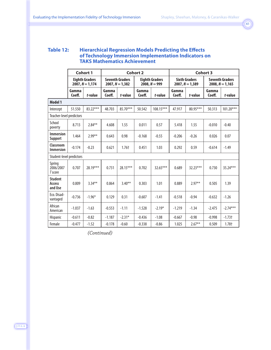#### **Table 12: Hierarchical Regression Models Predicting the Effects of Technology Immersion Implementation Indicators on TAKS Mathematics Achievement**

|                                       | <b>Cohort 1</b> |                                            |                                                                                         |          | <b>Cohort 2</b> |                                           |                 |                                             | <b>Cohort 3</b> |             |
|---------------------------------------|-----------------|--------------------------------------------|-----------------------------------------------------------------------------------------|----------|-----------------|-------------------------------------------|-----------------|---------------------------------------------|-----------------|-------------|
|                                       |                 | <b>Eighth Graders</b><br>$2007. N = 1.174$ | <b>Seventh Graders</b><br><b>Eighth Graders</b><br>$2008, N = 999$<br>$2007, N = 1,382$ |          |                 | <b>Sixth Graders</b><br>$2007, N = 1,389$ |                 | <b>Seventh Graders</b><br>$2008, N = 1.165$ |                 |             |
|                                       | Gamma<br>Coeff. | t-value                                    | Gamma<br>Coeff.                                                                         | t-value  | Gamma<br>Coeff. | t-value                                   | Gamma<br>Coeff. | t-value                                     | Gamma<br>Coeff. | t-value     |
| Model 1                               |                 |                                            |                                                                                         |          |                 |                                           |                 |                                             |                 |             |
| Intercept                             | 51.550          | 83.22***                                   | 48.703                                                                                  | 85.70*** | 50.542          | 108.15***                                 | 47.917          | $80.95***$                                  | 50.313          | $101.20***$ |
| Teacher-level predictors              |                 |                                            |                                                                                         |          |                 |                                           |                 |                                             |                 |             |
| School<br>poverty                     | 8.713           | $2.84***$                                  | 4.608                                                                                   | 1.55     | 0.011           | 0.57                                      | 5.418           | 1.55                                        | $-0.010$        | $-0.40$     |
| <b>Immersion</b><br>Support           | 1.464           | $2.99**$                                   | 0.643                                                                                   | 0.98     | $-0.168$        | $-0.55$                                   | $-0.206$        | $-0.26$                                     | 0.026           | 0.07        |
| Classroom<br><b>Immersion</b>         | $-0.174$        | $-0.23$                                    | 0.621                                                                                   | $1.76+$  | 0.451           | 1.03                                      | 0.292           | 0.59                                        | $-0.614$        | $-1.49$     |
| Student-level predictors              |                 |                                            |                                                                                         |          |                 |                                           |                 |                                             |                 |             |
| Spring<br>2006/2007<br><b>T</b> score | 0.707           | 28.19***                                   | 0.731                                                                                   | 28.15*** | 0.702           | $32.65***$                                | 0.689           | $32.23***$                                  | 0.730           | 35.24***    |
| <b>Student</b><br>Access<br>and Use   | 0.809           | $3.34***$                                  | 0.864                                                                                   | $3.40**$ | 0.303           | 1.01                                      | 0.889           | $2.97**$                                    | 0.505           | 1.39        |
| Eco. Disad-<br>vantaged               | $-0.736$        | $-1.96*$                                   | 0.129                                                                                   | 0.31     | $-0.607$        | $-1.41$                                   | $-0.518$        | $-0.94$                                     | $-0.632$        | $-1.26$     |
| African<br>American                   | $-1.037$        | $-1.63$                                    | $-0.553$                                                                                | $-1.11$  | $-1.528$        | $-2.19*$                                  | $-1.219$        | $-1.34$                                     | $-2.475$        | $-2.74***$  |
| <b>Hispanic</b>                       | $-0.611$        | $-0.82$                                    | $-1.187$                                                                                | $-2.31*$ | $-0.436$        | $-1.08$                                   | $-0.667$        | $-0.98$                                     | $-0.998$        | $-1.73$     |
| Female                                | $-0.477$        | $-1.52$                                    | $-0.178$                                                                                | $-0.60$  | $-0.338$        | $-0.86$                                   | 1.025           | $2.67**$                                    | 0.509           | $1.78+$     |

*(Continued)*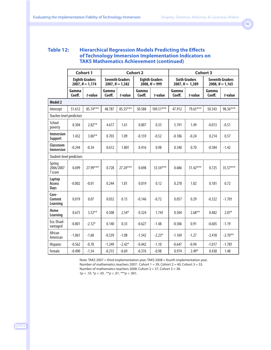#### **Table 12: Hierarchical Regression Models Predicting the Effects of Technology Immersion Implementation Indicators on TAKS Mathematics Achievement (continued)**

|                                      |                 | <b>Cohort 1</b>                            |                                             |          | <b>Cohort 2</b> |                                          |                 |                                           | <b>Cohort 3</b>                             |                      |
|--------------------------------------|-----------------|--------------------------------------------|---------------------------------------------|----------|-----------------|------------------------------------------|-----------------|-------------------------------------------|---------------------------------------------|----------------------|
|                                      |                 | <b>Eighth Graders</b><br>$2007, N = 1,174$ | <b>Seventh Graders</b><br>$2007, N = 1,382$ |          |                 | <b>Eighth Graders</b><br>$2008, N = 999$ |                 | <b>Sixth Graders</b><br>$2007, N = 1,389$ | <b>Seventh Graders</b><br>$2008, N = 1,165$ |                      |
|                                      | Gamma<br>Coeff. | t-value                                    | Gamma<br>Coeff.                             | t-value  | Gamma<br>Coeff. | t-value                                  | Gamma<br>Coeff. | t-value                                   | Gamma<br>Coeff.                             | t-value              |
| <b>Model 2</b>                       |                 |                                            |                                             |          |                 |                                          |                 |                                           |                                             |                      |
| Intercept                            | 51.612          | 85.74***                                   | 48.787                                      | 85.55*** | 50.588          | $109.51***$                              | 47.912          | 79.65***                                  | 50.343                                      | 98.36***             |
| Teacher-level predictors             |                 |                                            |                                             |          |                 |                                          |                 |                                           |                                             |                      |
| School<br>poverty                    | 8.304           | $2.82***$                                  | 4.617                                       | 1.61     | 0.007           | 0.35                                     | 5.191           | 1.49                                      | $-0.013$                                    | $-0.51$              |
| <b>Immersion</b><br><b>Support</b>   | 1.432           | $3.06***$                                  | 0.703                                       | 1.09     | $-0.159$        | $-0.52$                                  | $-0.186$        | $-0.24$                                   | 0.214                                       | 0.57                 |
| <b>Classroom</b><br><b>Immersion</b> | $-0.244$        | $-0.34$                                    | 0.612                                       | 1.80+    | 0.416           | 0.98                                     | 0.340           | 0.70                                      | $-0.584$                                    | $-1.42$              |
| Student-level predictors             |                 |                                            |                                             |          |                 |                                          |                 |                                           |                                             |                      |
| Spring<br>2006/2007<br>T score       | 0.699           | 27.99***                                   | 0.728                                       | 27.24*** | 0.698           | 33.54***                                 | 0.686           | $31.42***$                                | 0.725                                       | 35.57***             |
| Laptop<br><b>Access</b><br>Days      | $-0.002$        | $-0.01$                                    | 0.244                                       | 1.81     | 0.019           | 0.12                                     | 0.278           | 1.02                                      | 0.181                                       | 0.72                 |
| Core-<br>Content<br>Learning         | 0.019           | 0.07                                       | 0.032                                       | 0.15     | $-0.146$        | $-0.72$                                  | 0.057           | 0.29                                      | $-0.322$                                    | $-1.70+$             |
| Home<br>Learning                     | 0.675           | $3.52***$                                  | 0.508                                       | $2.54*$  | 0.324           | $1.74+$                                  | 0.504           | $2.68***$                                 | 0.482                                       | $2.07*$              |
| Eco. Disad-<br>vantaged              | $-0.801$        | $-2.12*$                                   | 0.140                                       | 0.33     | $-0.627$        | $-1.48$                                  | $-0.506$        | 0.91                                      | $-0.605$                                    | $-1.19$              |
| African<br>American                  | $-1.061$        | $-1.68$                                    | $-0.539$                                    | $-1.08$  | $-1.542$        | $-2.23*$                                 | $-1.169$        | $-1.27$                                   | $-2.418$                                    | $-2.70**$            |
| <b>Hispanic</b>                      | $-0.562$        | $-0.78$                                    | $-1.249$                                    | $-2.42*$ | $-0.442$        | $-1.10$                                  | $-0.647$        | $-0.94$                                   | $-1.017$                                    | $-1.78$ <sup>+</sup> |
| Female                               | $-0.490$        | $-1.54$                                    | $-0.215$                                    | $-0.69$  | $-0.376$        | $-0.98$                                  | 0.974           | $2.49*$                                   | 0.438                                       | 1.48                 |

Note. TAKS 2007 = third implementation year; TAKS 2008 = fourth implementation year.

Number of mathematics teachers 2007: Cohort 1 = 39, Cohort 2 = 40, Cohort 3 = 33.

Number of mathematics teachers 2008: Cohort 2 = 37, Cohort 3 = 38.

†*p* < .10. \**p* < .05. \*\**p* < .01. \*\*\**p* < .001.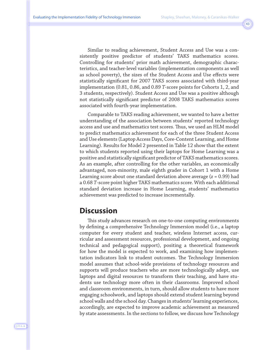Similar to reading achievement, Student Access and Use was a consistently positive predictor of students' TAKS mathematics scores. Controlling for students' prior math achievement, demographic characteristics, and teacher-level variables (implementation components as well as school poverty), the sizes of the Student Access and Use effects were statistically significant for 2007 TAKS scores associated with third-year implementation (0.81, 0.86, and 0.89 *T*-score points for Cohorts 1, 2, and 3 students, respectively). Student Access and Use was a positive although not statistically significant predictor of 2008 TAKS mathematics scores associated with fourth-year implementation.

Comparable to TAKS reading achievement, we wanted to have a better understanding of the association between students' reported technology access and use and mathematics test scores. Thus, we used an HLM model to predict mathematics achievement for each of the three Student Access and Use elements (Laptop Access Days, Core-Content Learning, and Home Learning). Results for Model 2 presented in Table 12 show that the extent to which students reported using their laptops for Home Learning was a positive and statistically significant predictor of TAKS mathematics scores. As an example, after controlling for the other variables, an economically advantaged, non-minority, male eighth grader in Cohort 1 with a Home Learning score about one standard deviation above average (*z* = 0.99) had a 0.68 *T*-score point higher TAKS mathematics score. With each additional standard deviation increase in Home Learning, students' mathematics achievement was predicted to increase incrementally.

### **Discussion**

This study advances research on one-to-one computing environments by defining a comprehensive Technology Immersion model (i.e., a laptop computer for every student and teacher, wireless Internet access, curricular and assessment resources, professional development, and ongoing technical and pedagogical support), positing a theoretical framework for how the model is expected to work, and examining how implementation indicators link to student outcomes. The Technology Immersion model assumes that school-wide provisions of technology resources and supports will produce teachers who are more technologically adept, use laptops and digital resources to transform their teaching, and have students use technology more often in their classrooms. Improved school and classroom environments, in turn, should allow students to have more engaging schoolwork, and laptops should extend student learning beyond school walls and the school day. Changes in students' learning experiences, accordingly, are expected to improve academic achievement as measured by state assessments. In the sections to follow, we discuss how Technology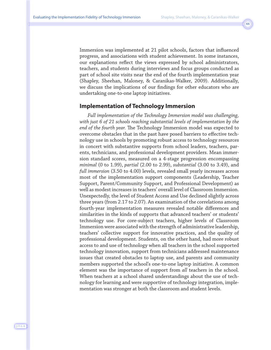Immersion was implemented at 21 pilot schools, factors that influenced progress, and associations with student achievement. In some instances, our explanations reflect the views expressed by school administrators, teachers, and students during interviews and focus groups conducted as part of school site visits near the end of the fourth implementation year (Shapley, Sheehan, Maloney, & Caranikas-Walker, 2009). Additionally, we discuss the implications of our findings for other educators who are undertaking one-to-one laptop initiatives.

#### **Implementation of Technology Immersion**

*Full implementation of the Technology Immersion model was challenging, with just 6 of 21 schools reaching substantial levels of implementation by the end of the fourth year.* The Technology Immersion model was expected to overcome obstacles that in the past have posed barriers to effective technology use in schools by promoting robust access to technology resources in concert with substantive supports from school leaders, teachers, parents, technicians, and professional development providers. Mean immersion standard scores, measured on a 4-stage progression encompassing *minimal* (0 to 1.99), *partial* (2.00 to 2.99), *substantial* (3.00 to 3.49), and *full immersion* (3.50 to 4.00) levels, revealed small yearly increases across most of the implementation support components (Leadership, Teacher Support, Parent/Community Support, and Professional Development) as well as modest increases in teachers' overall level of Classroom Immersion. Unexpectedly, the level of Student Access and Use declined slightly across three years (from 2.17 to 2.07). An examination of the correlations among fourth-year implementation measures revealed notable differences and similarities in the kinds of supports that advanced teachers' or students' technology use. For core-subject teachers, higher levels of Classroom Immersion were associated with the strength of administrative leadership, teachers' collective support for innovative practices, and the quality of professional development. Students, on the other hand, had more robust access to and use of technology when all teachers in the school supported technology innovation, support from technicians addressed maintenance issues that created obstacles to laptop use, and parents and community members supported the school's one-to-one laptop initiative. A common element was the importance of support from *all* teachers in the school. When teachers at a school shared understandings about the use of technology for learning and were supportive of technology integration, implementation was stronger at both the classroom and student levels.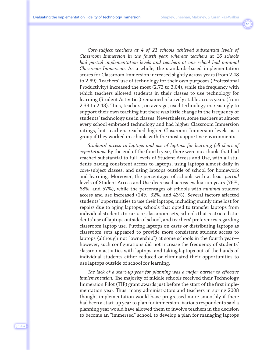*Core-subject teachers at 4 of 21 schools achieved substantial levels of Classroom Immersion in the fourth year, whereas teachers at 16 schools had partial implementation levels and teachers at one school had minimal Classroom Immersion.* As a whole, the standards-based implementation scores for Classroom Immersion increased slightly across years (from 2.48 to 2.69). Teachers' use of technology for their own purposes (Professional Productivity) increased the most (2.73 to 3.04), while the frequency with which teachers allowed students in their classes to use technology for learning (Student Activities) remained relatively stable across years (from 2.33 to 2.43). Thus, teachers, on average, used technology increasingly to support their own teaching but there was little change in the frequency of students' technology use in classes. Nevertheless, some teachers at almost every school embraced technology and had higher Classroom Immersion ratings, but teachers reached higher Classroom Immersion levels as a group if they worked in schools with the most supportive environments.

*Students' access to laptops and use of laptops for learning fell short of expectations.* By the end of the fourth year, there were no schools that had reached substantial to full levels of Student Access and Use, with all students having consistent access to laptops, using laptops almost daily in core-subject classes, and using laptops outside of school for homework and learning. Moreover, the percentages of schools with at least *partial* levels of Student Access and Use decreased across evaluation years (76%, 68%, and 57%), while the percentages of schools with *minimal* student access and use increased (24%, 32%, and 43%). Several factors affected students' opportunities to use their laptops, including mainly time lost for repairs due to aging laptops, schools that opted to transfer laptops from individual students to carts or classroom sets, schools that restricted students' use of laptops outside of school, and teachers' preferences regarding classroom laptop use. Putting laptops on carts or distributing laptops as classroom sets appeared to provide more consistent student access to laptops (although not "ownership") at some schools in the fourth year however, such configurations did not increase the frequency of students' classroom activities with laptops, and taking laptops out of the hands of individual students either reduced or eliminated their opportunities to use laptops outside of school for learning.

*The lack of a start-up year for planning was a major barrier to effective implementation.* The majority of middle schools received their Technology Immersion Pilot (TIP) grant awards just before the start of the first implementation year. Thus, many administrators and teachers in spring 2008 thought implementation would have progressed more smoothly if there had been a start-up year to plan for immersion. Various respondents said a planning year would have allowed them to involve teachers in the decision to become an "immersed" school, to develop a plan for managing laptops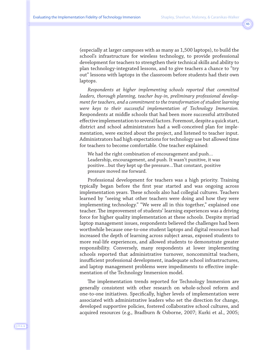(especially at larger campuses with as many as 1,500 laptops), to build the school's infrastructure for wireless technology, to provide professional development for teachers to strengthen their technical skills and ability to plan technology-integrated lessons, and to give teachers a chance to "try out" lessons with laptops in the classroom before students had their own laptops.

*Respondents at higher implementing schools reported that committed leaders, thorough planning, teacher buy-in, preliminary professional development for teachers, and a commitment to the transformation of student learning were keys to their successful implementation of Technology Immersion.* Respondents at middle schools that had been more successful attributed effective implementation to several factors. Foremost, despite a quick start, district and school administrators had a well-conceived plan for implementation, were excited about the project, and listened to teacher input. Administrators had high expectations for technology use but allowed time for teachers to become comfortable. One teacher explained:

We had the right combination of encouragement and push… Leadership, encouragement, and push. It wasn't punitive, it was positive…but they kept up the pressure…That constant, positive pressure moved me forward.

Professional development for teachers was a high priority. Training typically began before the first year started and was ongoing across implementation years. These schools also had collegial cultures. Teachers learned by "seeing what other teachers were doing and how they were implementing technology." "We were all in this together," explained one teacher. The improvement of students' learning experiences was a driving force for higher quality implementation at these schools. Despite myriad laptop management issues, respondents believed the challenges had been worthwhile because one-to-one student laptops and digital resources had increased the depth of learning across subject areas, exposed students to more real-life experiences, and allowed students to demonstrate greater responsibility. Conversely, many respondents at lower implementing schools reported that administrative turnover, noncommittal teachers, insufficient professional development, inadequate school infrastructures, and laptop management problems were impediments to effective implementation of the Technology Immersion model.

The implementation trends reported for Technology Immersion are generally consistent with other research on whole-school reform and one-to-one initiatives. Specifically, higher levels of implementation were associated with administrative leaders who set the direction for change, developed supportive policies, fostered collaborative school cultures, and acquired resources (e.g., Bradburn & Osborne, 2007; Kurki et al., 2005;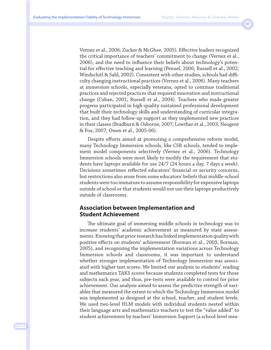Vernez et al., 2006; Zucker & McGhee, 2005). Effective leaders recognized the critical importance of teachers' commitment to change (Vernez et al., 2006), and the need to influence their beliefs about technology's potential for effective teaching and learning (Penuel, 2006; Russell et al., 2002; Windschitl & Sahl, 2002). Consistent with other studies, schools had difficulty changing instructional practices (Vernez et al., 2006). Many teachers at immersion schools, especially veterans, opted to continue traditional practices and rejected practices that required innovation and instructional change (Cuban, 2001; Russell et al., 2004). Teachers who made greater progress participated in high-quality sustained professional development that built their technology skills and understanding of curricular integration, and they had follow-up support as they implemented new practices in their classes (Bradburn & Osborne, 2007; Lowther et al., 2003; Neugent & Fox, 2007; Owen et al., 2005-06).

Despite efforts aimed at promoting a comprehensive reform model, many Technology Immersion schools, like CSR schools, tended to implement model components selectively (Vernez et al., 2006). Technology Immersion schools were most likely to modify the requirement that students have laptops available for use 24/7 (24 hours a day, 7 days a week). Decisions sometimes reflected educators' financial or security concerns, but restrictions also arose from some educators' beliefs that middle-school students were too immature to assume responsibility for expensive laptops outside of school or that students would not use their laptops productively outside of classrooms.

#### **Association between Implementation and Student Achievement**

The ultimate goal of immersing middle schools in technology was to increase students' academic achievement as measured by state assessments. Knowing that prior research has linked implementation quality with positive effects on students' achievement (Borman et al., 2003; Borman, 2005), and recognizing the implementation variations across Technology Immersion schools and classrooms, it was important to understand whether stronger implementation of Technology Immersion was associated with higher test scores. We limited our analysis to students' reading and mathematics TAKS scores because students completed tests for those subjects each year, and thus, pre-tests were available to control for prior achievement. Our analysis aimed to assess the predictive strength of variables that measured the extent to which the Technology Immersion model was implemented as designed at the school, teacher, and student levels. We used two-level HLM models with individual students nested within their language arts and mathematics teachers to test the "value added" to student achievement by teachers' Immersion Support (a school-level mea-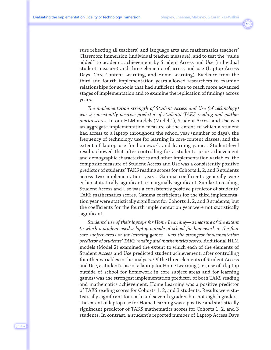sure reflecting all teachers) and language arts and mathematics teachers' Classroom Immersion (individual teacher measure), and to test the "value added" to academic achievement by Student Access and Use (individual student measure) and three elements of access and use (Laptop Access Days, Core-Content Learning, and Home Learning). Evidence from the third and fourth implementation years allowed researchers to examine relationships for schools that had sufficient time to reach more advanced stages of implementation and to examine the replication of findings across years.

*The implementation strength of Student Access and Use (of technology) was a consistently positive predictor of students' TAKS reading and mathematics scores.* In our HLM models (Model 1), Student Access and Use was an aggregate implementation measure of the extent to which a student had access to a laptop throughout the school year (number of days), the frequency of technology use for learning in core-content classes, and the extent of laptop use for homework and learning games. Student-level results showed that after controlling for a student's prior achievement and demographic characteristics and other implementation variables, the composite measure of Student Access and Use was a consistently positive predictor of students' TAKS reading scores for Cohorts 1, 2, and 3 students across two implementation years. Gamma coefficients generally were either statistically significant or marginally significant. Similar to reading, Student Access and Use was a consistently positive predictor of students' TAKS mathematics scores. Gamma coefficients for the third implementation year were statistically significant for Cohorts 1, 2, and 3 students, but the coefficients for the fourth implementation year were not statistically significant.

*Students' use of their laptops for Home Learning—a measure of the extent to which a student used a laptop outside of school for homework in the four core-subject areas or for learning games—was the strongest implementation predictor of students' TAKS reading and mathematics scores.* Additional HLM models (Model 2) examined the extent to which each of the elements of Student Access and Use predicted student achievement, after controlling for other variables in the analysis. Of the three elements of Student Access and Use, a student's use of a laptop for Home Learning (i.e., use of a laptop outside of school for homework in core-subject areas and for learning games) was the strongest implementation predictor of both TAKS reading and mathematics achievement. Home Learning was a positive predictor of TAKS reading scores for Cohorts 1, 2, and 3 students. Results were statistically significant for sixth and seventh graders but not eighth graders. The extent of laptop use for Home Learning was a positive and statistically significant predictor of TAKS mathematics scores for Cohorts 1, 2, and 3 students. In contrast, a student's reported number of Laptop Access Days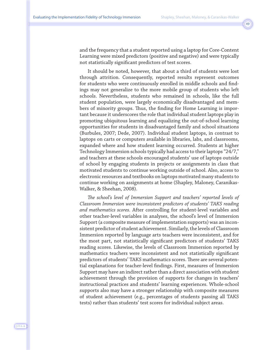and the frequency that a student reported using a laptop for Core-Content Learning were mixed predictors (positive and negative) and were typically not statistically significant predictors of test scores.

It should be noted, however, that about a third of students were lost through attrition. Consequently, reported results represent outcomes for students who were continuously enrolled in middle schools and findings may not generalize to the more mobile group of students who left schools. Nevertheless, students who remained in schools, like the full student population, were largely economically disadvantaged and members of minority groups. Thus, the finding for Home Learning is important because it underscores the role that individual student laptops play in promoting ubiquitous learning and equalizing the out-of-school learning opportunities for students in disadvantaged family and school situations (Burbules, 2007; Dede, 2007). Individual student laptops, in contrast to laptops on carts or computers available in libraries, labs, and classrooms, expanded where and how student learning occurred. Students at higher Technology Immersion schools typically had access to their laptops "24/7," and teachers at these schools encouraged students' use of laptops outside of school by engaging students in projects or assignments in class that motivated students to continue working outside of school. Also, access to electronic resources and textbooks on laptops motivated many students to continue working on assignments at home (Shapley, Maloney, Caranikas-Walker, & Sheehan, 2008).

*The school's level of Immersion Support and teachers' reported levels of Classroom Immersion were inconsistent predictors of students' TAKS reading and mathematics scores.* After controlling for student-level variables and other teacher-level variables in analyses, the school's level of Immersion Support (a composite measure of implementation supports) was an inconsistent predictor of student achievement. Similarly, the levels of Classroom Immersion reported by language arts teachers were inconsistent, and for the most part, not statistically significant predictors of students' TAKS reading scores. Likewise, the levels of Classroom Immersion reported by mathematics teachers were inconsistent and not statistically significant predictors of students' TAKS mathematics scores. There are several potential explanations for teacher-level findings. First, measures of Immersion Support may have an indirect rather than a direct association with student achievement through the provision of supports for changes in teachers' instructional practices and students' learning experiences. Whole-school supports also may have a stronger relationship with composite measures of student achievement (e.g., percentages of students passing all TAKS tests) rather than students' test scores for individual subject areas.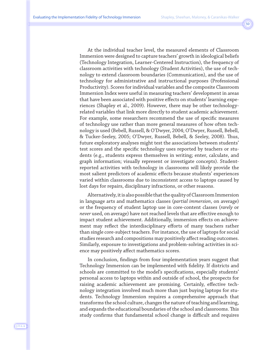At the individual teacher level, the measured elements of Classroom Immersion were designed to capture teachers' growth in ideological beliefs (Technology Integration, Learner-Centered Instruction), the frequency of classroom activities with technology (Student Activities), the use of technology to extend classroom boundaries (Communication), and the use of technology for administrative and instructional purposes (Professional Productivity). Scores for individual variables and the composite Classroom Immersion Index were useful in measuring teachers' development in areas that have been associated with positive effects on students' learning experiences (Shapley et al., 2009). However, there may be other technologyrelated variables that link more directly to student academic achievement. For example, some researchers recommend the use of specific measures of technology use rather than more general measures of how often technology is used (Bebell, Russell, & O'Dwyer, 2004; O'Dwyer, Russell, Bebell, & Tucker-Seeley, 2005; O'Dwyer, Russell, Bebell, & Seeley, 2008). Thus, future exploratory analyses might test the associations between students' test scores and the specific technology uses reported by teachers or students (e.g., students express themselves in writing; enter, calculate, and graph information; visually represent or investigate concepts). Studentreported activities with technology in classrooms will likely provide the most salient predictors of academic effects because students' experiences varied within classrooms due to inconsistent access to laptops caused by lost days for repairs, disciplinary infractions, or other reasons.

Alternatively, it is also possible that the quality of Classroom Immersion in language arts and mathematics classes (*partial immersion*, on average) or the frequency of student laptop use in core-content classes (*rarely* or *never* used, on average) have not reached levels that are effective enough to impact student achievement. Additionally, immersion effects on achievement may reflect the interdisciplinary efforts of many teachers rather than single core-subject teachers. For instance, the use of laptops for social studies research and compositions may positively affect reading outcomes. Similarly, exposure to investigations and problem-solving activities in science may positively affect mathematics scores.

In conclusion, findings from four implementation years suggest that Technology Immersion can be implemented with fidelity. If districts and schools are committed to the model's specifications, especially students' personal access to laptops within and outside of school, the prospects for raising academic achievement are promising. Certainly, effective technology integration involved much more than just buying laptops for students. Technology Immersion requires a comprehensive approach that transforms the school culture, changes the nature of teaching and learning, and expands the educational boundaries of the school and classrooms. This study confirms that fundamental school change is difficult and requires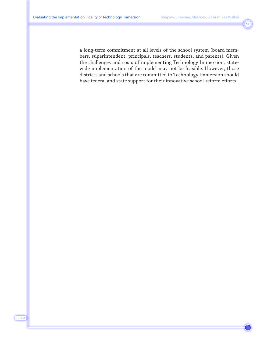a long-term commitment at all levels of the school system (board members, superintendent, principals, teachers, students, and parents). Given the challenges and costs of implementing Technology Immersion, statewide implementation of the model may not be feasible. However, those districts and schools that are committed to Technology Immersion should have federal and state support for their innovative school-reform efforts.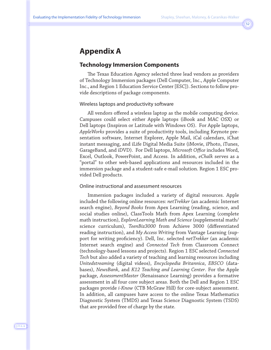### **Appendix A**

#### **Technology Immersion Components**

The Texas Education Agency selected three lead vendors as providers of Technology Immersion packages (Dell Computer, Inc., Apple Computer Inc., and Region 1 Education Service Center [ESC]). Sections to follow provide descriptions of package components.

#### Wireless laptops and productivity software

All vendors offered a wireless laptop as the mobile computing device. Campuses could select either Apple laptops (iBook and MAC OSX) or Dell laptops (Inspiron or Latitude with Windows OS). For Apple laptops, *AppleWorks* provides a suite of productivity tools, including Keynote presentation software, Internet Explorer, Apple Mail, iCal calendars, iChat instant messaging, and iLife Digital Media Suite (iMovie, iPhoto, iTunes, GarageBand, and iDVD). For Dell laptops, *Microsoft Office* includes Word, Excel, Outlook, PowerPoint, and Access. In addition, *eChalk* serves as a "portal" to other web-based applications and resources included in the immersion package and a student-safe e-mail solution. Region 1 ESC provided Dell products.

#### Online instructional and assessment resources

Immersion packages included a variety of digital resources. Apple included the following online resources: *netTrekker* (an academic Internet search engine), *Beyond Books* from Apex Learning (reading, science, and social studies online), ClassTools Math from Apex Learning (complete math instruction), *ExploreLearning Math and Science* (supplemental math/ science curriculum), *TeenBiz3000* from Achieve 3000 (differentiated reading instruction), and *My Access Writing* from Vantage Learning (support for writing proficiency). Dell, Inc. selected *netTrekker* (an academic Internet search engine) and *Connected Tech* from Classroom Connect (technology-based lessons and projects). Region 1 ESC selected *Connected Tech* but also added a variety of teaching and learning resources including *Unitedstreaming* (digital videos), *Encyclopedia Britannica*, *EBSCO* (databases), *NewsBank*, and *K12 Teaching and Learning Center*. For the Apple package, *AssessmentMaster* (Renaissance Learning) provides a formative assessment in all four core subject areas. Both the Dell and Region 1 ESC packages provide *i-Know* (CTB McGraw Hill) for core-subject assessment. In addition, all campuses have access to the online Texas Mathematics Diagnostic System (TMDS) and Texas Science Diagnostic System (TSDS) that are provided free of charge by the state.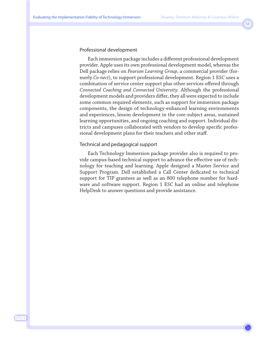#### Professional development

Each immersion package includes a different professional development provider. Apple uses its own professional development model, whereas the Dell package relies on *Pearson Learning Group*, a commercial provider (formerly *Co-nect*), to support professional development. Region 1 ESC uses a combination of service center support plus other services offered through *Connected Coaching and Connected University*. Although the professional development models and providers differ, they all were expected to include some common required elements, such as support for immersion package components, the design of technology-enhanced learning environments and experiences, lesson development in the core-subject areas, sustained learning opportunities, and ongoing coaching and support. Individual districts and campuses collaborated with vendors to develop specific professional development plans for their teachers and other staff.

#### Technical and pedagogical support

Each Technology Immersion package provider also is required to provide campus-based technical support to advance the effective use of technology for teaching and learning. Apple designed a Master Service and Support Program. Dell established a Call Center dedicated to technical support for TIP grantees as well as an 800 telephone number for hardware and software support. Region 1 ESC had an online and telephone HelpDesk to answer questions and provide assistance.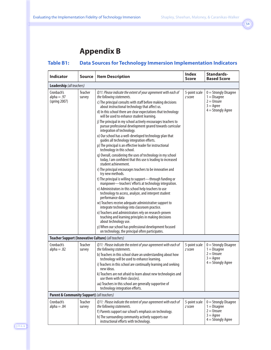### **Appendix B**

| <b>Indicator</b>                             | Source            | <b>Item Description</b>                                                                                                                                     | <b>Index</b><br><b>Score</b> | <b>Standards-</b><br><b>Based Score</b>                    |
|----------------------------------------------|-------------------|-------------------------------------------------------------------------------------------------------------------------------------------------------------|------------------------------|------------------------------------------------------------|
| Leadership (all teachers)                    |                   |                                                                                                                                                             |                              |                                                            |
| Cronbach's<br>$alpha = .97$<br>(spring 2007) | Teacher<br>survey | Q11: Please indicate the extent of your agreement with each of<br>the following statements.<br>c) The principal consults with staff before making decisions | 5-point scale<br>z score     | $0 =$ Strongly Disagree<br>$1 = Disagree$<br>$2 =$ Unsure  |
|                                              |                   | about instructional technology that affect us.                                                                                                              |                              | $3 = \text{Agree}$<br>$4 =$ Strongly Agree                 |
|                                              |                   | d) In this school there are clear expectations that technology<br>will be used to enhance student learning.                                                 |                              |                                                            |
|                                              |                   | j) The principal in my school actively encourages teachers to<br>pursue professional development geared towards curricular<br>integration of technology.    |                              |                                                            |
|                                              |                   | o) Our school has a well-developed technology plan that<br>quides all technology integration efforts.                                                       |                              |                                                            |
|                                              |                   | p) The principal is an effective leader for instructional<br>technology in this school.                                                                     |                              |                                                            |
|                                              |                   | q) Overall, considering the uses of technology in my school<br>today, I am confident that this use is leading to increased<br>student achievement.          |                              |                                                            |
|                                              |                   | r) The principal encourages teachers to be innovative and<br>try new methods.                                                                               |                              |                                                            |
|                                              |                   | t) The principal is willing to support-through funding or<br>manpower-teachers' efforts at technology integration.                                          |                              |                                                            |
|                                              |                   | v) Administrators in this school help teachers to use<br>technology to access, analyze, and interpret student<br>performance data                           |                              |                                                            |
|                                              |                   | w) Teachers receive adequate administrative support to<br>integrate technology into classroom practice.                                                     |                              |                                                            |
|                                              |                   | x) Teachers and administrators rely on research-proven<br>teaching and learning principles in making decisions<br>about technology use.                     |                              |                                                            |
|                                              |                   | y) When our school has professional development focused<br>on technology, the principal often participates.                                                 |                              |                                                            |
|                                              |                   | Teacher Support (Innovative Culture) (all teachers)                                                                                                         |                              |                                                            |
| Cronbach's<br>$alpha = .82$                  | Teacher<br>survey | Q11: Please indicate the extent of your agreement with each of<br>the following statements.                                                                 | 5-point scale<br>z score     | $0 =$ Strongly Disagree<br>$1 = Disagree$                  |
|                                              |                   | b) Teachers in this school share an understanding about how<br>technology will be used to enhance learning.                                                 |                              | $2 =$ Unsure<br>$3 = \text{Agree}$                         |
|                                              |                   | i) Teachers in this school are continually learning and seeking<br>new ideas.                                                                               |                              | $4 =$ Strongly Agree                                       |
|                                              |                   | k) Teachers are not afraid to learn about new technologies and<br>use them with their class(es).                                                            |                              |                                                            |
|                                              |                   | aa) Teachers in this school are generally supportive of<br>technology integration efforts.                                                                  |                              |                                                            |
| Parent & Community Support) (all teachers)   |                   |                                                                                                                                                             |                              |                                                            |
| Cronbach's<br>$alpha = .84$                  | Teacher<br>survey | Q11: Please indicate the extent of your agreement with each of<br>the following statements.                                                                 | 5-point scale<br>z score     | $0 =$ Strongly Disagree<br>$1 = Disagree$                  |
|                                              |                   | f) Parents support our school's emphasis on technology.<br>h) The surrounding community actively supports our<br>instructional efforts with technology.     |                              | $2 =$ Unsure<br>$3 = \text{Agree}$<br>$4 =$ Strongly Agree |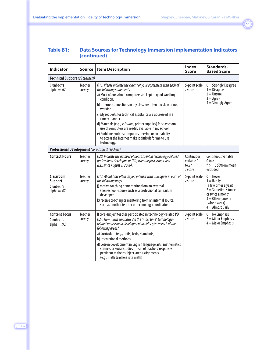| <b>Indicator</b>                                                  | <b>Source</b>     | <b>Item Description</b>                                                                                                                                                                                                                                                                                                                                                                                                                                                                                                                                                                        | <b>Index</b><br><b>Score</b>                    | <b>Standards-</b><br><b>Based Score</b>                                                                                                                          |
|-------------------------------------------------------------------|-------------------|------------------------------------------------------------------------------------------------------------------------------------------------------------------------------------------------------------------------------------------------------------------------------------------------------------------------------------------------------------------------------------------------------------------------------------------------------------------------------------------------------------------------------------------------------------------------------------------------|-------------------------------------------------|------------------------------------------------------------------------------------------------------------------------------------------------------------------|
| Technical Support (all teachers)                                  |                   |                                                                                                                                                                                                                                                                                                                                                                                                                                                                                                                                                                                                |                                                 |                                                                                                                                                                  |
| Cronbach's<br>$alpha = .67$                                       | Teacher<br>survey | Q11: Please indicate the extent of your agreement with each of<br>the following statements.<br>a) Most of our school computers are kept in good working<br>condition.<br>b) Internet connections in my class are often too slow or not<br>working.<br>c) My requests for technical assistance are addressed in a<br>timely manner.<br>d) Materials (e.g., software, printer supplies) for classroom<br>use of computers are readily available in my school.<br>e) Problems such as computers freezing or an inability<br>to access the Internet make it difficult for me to use<br>technology. | 5-point scale<br>z score                        | $0 =$ Strongly Disagree<br>$1 = Disagree$<br>$2 =$ Unsure<br>$3 = \text{Agree}$<br>$4 =$ Strongly Agree                                                          |
|                                                                   |                   | Professional Development (core-subject teachers)                                                                                                                                                                                                                                                                                                                                                                                                                                                                                                                                               |                                                 |                                                                                                                                                                  |
| <b>Contact Hours</b>                                              | Teacher<br>survey | Q20: Indicate the number of hours spent in technology-related<br>professional development (PD) over the past school year<br>(i.e., since August 1, 2006).                                                                                                                                                                                                                                                                                                                                                                                                                                      | Continuous<br>variable 0<br>to $x^*$<br>z score | Continuous variable<br>$0$ to $x$<br>$*>=3$ SD from mean<br>excluded                                                                                             |
| <b>Classroom</b><br><b>Support</b><br>Cronbach's<br>$alpha = .67$ | Teacher<br>survey | Q12: About how often do you interact with colleagues in each of<br>the following ways.<br>j) receive coaching or mentoring from an external<br>(non-school) source such as a professional curriculum<br>developer<br>k) receive coaching or mentoring from an internal source,<br>such as another teacher or technology coordinator                                                                                                                                                                                                                                                            | 5-point scale<br>z score                        | $0 =$ Never<br>$1 =$ Rarely<br>(a few times a year)<br>$2 =$ Sometimes (once<br>or twice a month)<br>$3 =$ Often (once or<br>twice a week)<br>$4 =$ Almost Daily |
| <b>Content Focus</b><br>Cronbach's<br>$alpha = .92$               | Teacher<br>survey | If core-subject teacher participated in technology-related PD,<br>Q24: How much emphasis did the "most time" technology-<br>related professional development activity give to each of the<br>following areas?<br>a) Curriculum (e.g., units, texts, standards)<br>b) Instructional methods<br>d) Lesson development in English language arts, mathematics,<br>science, or social studies [mean of teachers' responses<br>pertinent to their subject-area assignments<br>(e.g., math teachers rate math)]                                                                                       | 3-point scale<br>z score                        | $0 = No$ Emphasis<br>$2 =$ Minor Emphasis<br>$4 =$ Major Emphasis                                                                                                |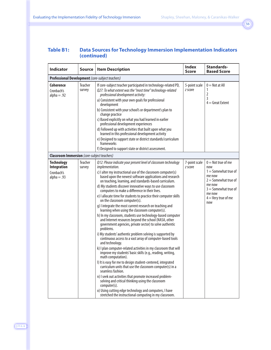| <b>Indicator</b>                                                       | Source            | <b>Item Description</b>                                                                                                                                                                                                                                                                                                                                                                                                                                                                                                                                                                                                                                                                                                                                                                                                                                                                                                                                                                                                                                                                                                                                                                                                                                                                                                                                                                                                                                                                                            | <b>Index</b><br><b>Score</b> | <b>Standards-</b><br><b>Based Score</b>                                                                                                                                 |
|------------------------------------------------------------------------|-------------------|--------------------------------------------------------------------------------------------------------------------------------------------------------------------------------------------------------------------------------------------------------------------------------------------------------------------------------------------------------------------------------------------------------------------------------------------------------------------------------------------------------------------------------------------------------------------------------------------------------------------------------------------------------------------------------------------------------------------------------------------------------------------------------------------------------------------------------------------------------------------------------------------------------------------------------------------------------------------------------------------------------------------------------------------------------------------------------------------------------------------------------------------------------------------------------------------------------------------------------------------------------------------------------------------------------------------------------------------------------------------------------------------------------------------------------------------------------------------------------------------------------------------|------------------------------|-------------------------------------------------------------------------------------------------------------------------------------------------------------------------|
| Professional Development (core-subject teachers)                       |                   |                                                                                                                                                                                                                                                                                                                                                                                                                                                                                                                                                                                                                                                                                                                                                                                                                                                                                                                                                                                                                                                                                                                                                                                                                                                                                                                                                                                                                                                                                                                    |                              |                                                                                                                                                                         |
| Coherence<br>Cronbach's<br>$alpha = .92$                               | Teacher<br>survey | If core-subject teacher participated in technology-related PD,<br>Q27: To what extent was the "most time" technology-related<br>professional development activity:<br>a) Consistent with your own goals for professional<br>development<br>b) Consistent with your school's or department's plan to<br>change practice<br>c) Based explicitly on what you had learned in earlier<br>professional development experiences<br>d) Followed up with activities that built upon what you<br>learned in this professional development activity<br>e) Designed to support state or district standards/curriculum<br>frameworks<br>f) Designed to support state or district assessment.                                                                                                                                                                                                                                                                                                                                                                                                                                                                                                                                                                                                                                                                                                                                                                                                                                    | 5-point scale<br>z score     | $0 =$ Not at All<br>1<br>2<br>3<br>$4 =$ Great Extent                                                                                                                   |
| <b>Classroom Immersion</b> (core-subject teachers)                     |                   |                                                                                                                                                                                                                                                                                                                                                                                                                                                                                                                                                                                                                                                                                                                                                                                                                                                                                                                                                                                                                                                                                                                                                                                                                                                                                                                                                                                                                                                                                                                    |                              |                                                                                                                                                                         |
| <b>Technology</b><br><b>Integration</b><br>Cronbach's<br>$alpha = .93$ | Teacher<br>survey | Q12: Please indicate your present level of classroom technology<br>implementation.<br>c) I alter my instructional use of the classroom computer(s)<br>based upon the newest software applications and research<br>on teaching, learning, and standards-based curriculum.<br>d) My students discover innovative ways to use classroom<br>computers to make a difference in their lives.<br>e) I allocate time for students to practice their computer skills<br>on the classroom computer(s).<br>g) I integrate the most current research on teaching and<br>learning when using the classroom computer(s).<br>h) In my classroom, students use technology-based computer<br>and Internet resources beyond the school (NASA, other<br>government agencies, private sector) to solve authentic<br>problems.<br>i) My students' authentic problem solving is supported by<br>continuous access to a vast array of computer-based tools<br>and technology.<br>k) I plan computer-related activities in my classroom that will<br>improve my students' basic skills (e.g., reading, writing,<br>math computation).<br>I) It is easy for me to design student-centered, integrated<br>curriculum units that use the classroom computer(s) in a<br>seamless fashion.<br>n) I seek out activities that promote increased problem-<br>solving and critical thinking using the classroom<br>computer(s).<br>o) Using cutting edge technology and computers, I have<br>stretched the instructional computing in my classroom. | 7-point scale<br>z score     | $0 =$ Not true of me<br>now<br>$1 =$ Somewhat true of<br>me now<br>$2 =$ Somewhat true of<br>me now<br>$3 =$ Somewhat true of<br>me now<br>$4 =$ Very true of me<br>now |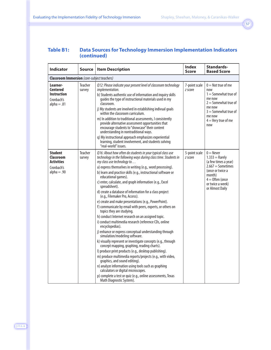| <b>Indicator</b>                                                                       | Source            | <b>Item Description</b>                                                                                                                                                                                                                                                                                                                                                                                                                                                                                                                                                                                                                                                                                                                                                                                                                                                                                                                                                                                                                                                                                                                                                                                                                                                                                                                 | <b>Index</b><br><b>Score</b> | Standards-<br><b>Based Score</b>                                                                                                                                         |
|----------------------------------------------------------------------------------------|-------------------|-----------------------------------------------------------------------------------------------------------------------------------------------------------------------------------------------------------------------------------------------------------------------------------------------------------------------------------------------------------------------------------------------------------------------------------------------------------------------------------------------------------------------------------------------------------------------------------------------------------------------------------------------------------------------------------------------------------------------------------------------------------------------------------------------------------------------------------------------------------------------------------------------------------------------------------------------------------------------------------------------------------------------------------------------------------------------------------------------------------------------------------------------------------------------------------------------------------------------------------------------------------------------------------------------------------------------------------------|------------------------------|--------------------------------------------------------------------------------------------------------------------------------------------------------------------------|
| <b>Classroom Immersion</b> (core-subject teachers)                                     |                   |                                                                                                                                                                                                                                                                                                                                                                                                                                                                                                                                                                                                                                                                                                                                                                                                                                                                                                                                                                                                                                                                                                                                                                                                                                                                                                                                         |                              |                                                                                                                                                                          |
| Learner-<br><b>Centered</b><br><b>Instruction</b><br>Cronbach's<br>$alpha = .81$       | Teacher<br>survey | Q12: Please indicate your present level of classroom technology<br>implementation.<br>b) Students authentic use of information and inquiry skills<br>quides the type of instructional materials used in my<br>classroom.<br>j) My students are involved in establishing indivual goals<br>within the classroom curriculum.<br>m) In addition to traditional assessments, I consistently<br>provide alternative assessment opportunities that<br>encourage students to "showcase" their content<br>understanding in nontraditional ways.<br>q) My instructional approach emphasizes experiential<br>learning, student involvement, and students solving<br>"real-world" issues.                                                                                                                                                                                                                                                                                                                                                                                                                                                                                                                                                                                                                                                          | 7-point scale<br>z score     | $0 =$ Not true of me<br>now<br>$1 =$ Somewhat true of<br>me now<br>$2 =$ Somewhat true of<br>me now<br>$3 =$ Somewhat true of<br>me now<br>$4 =$ Very true of me<br>now  |
| <b>Student</b><br><b>Classroom</b><br><b>Activities</b><br>Cronbach's<br>$alpha = .90$ | Teacher<br>survey | Q16: About how often do students in your typical class use<br>technology in the following ways during class time. Students in<br>my class use technology to<br>a) express themselves in writing (e.g., word processing).<br>b) learn and practice skills (e.g., instructional software or<br>educational games).<br>c) enter, calculate, and graph information (e.g., Excel<br>spreadsheet).<br>d) create a database of information for a class project<br>(e.g., Filemaker Pro, Access).<br>e) create and make presentations (e.g., PowerPoint).<br>f) communicate by email with peers, experts, or others on<br>topics they are studying.<br>h) conduct Internet research on an assigned topic.<br>i) conduct multimedia research (reference CDs, online<br>encyclopedias).<br>j) enhance or express conceptual understanding through<br>simulation/modeling software.<br>k) visually represent or investigate concepts (e.g., through<br>concept mapping, graphing, reading charts).<br>I) produce print products (e.g., desktop publishing).<br>m) produce multimedia reports/projects (e.g., with video,<br>graphics, and sound editing).<br>n) analyze information using tools such as graphing<br>calculators or digital microscopes.<br>p) complete a test or quiz (e.g., online assessments, Texas<br>Math Diagnostic System). | 5-point scale<br>z score     | $0 =$ Never<br>$1.333 =$ Rarely<br>(a few times a year)<br>$2.667 =$ Sometimes<br>(once or twice a<br>month)<br>$4 =$ Often (once<br>or twice a week)<br>or Almost Daily |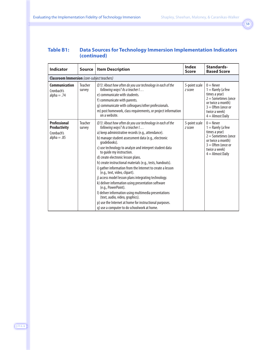| <b>Indicator</b>                                                          | <b>Source</b>     | <b>Item Description</b>                                                                                                                                                                                                                                                                                                                                                                                                                                                                                                                                                                                                                                                                                                                                                                                                                                       | <b>Index</b><br><b>Score</b> | <b>Standards-</b><br><b>Based Score</b>                                                                                                                          |
|---------------------------------------------------------------------------|-------------------|---------------------------------------------------------------------------------------------------------------------------------------------------------------------------------------------------------------------------------------------------------------------------------------------------------------------------------------------------------------------------------------------------------------------------------------------------------------------------------------------------------------------------------------------------------------------------------------------------------------------------------------------------------------------------------------------------------------------------------------------------------------------------------------------------------------------------------------------------------------|------------------------------|------------------------------------------------------------------------------------------------------------------------------------------------------------------|
| <b>Classroom Immersion</b> (core-subject teachers)                        |                   |                                                                                                                                                                                                                                                                                                                                                                                                                                                                                                                                                                                                                                                                                                                                                                                                                                                               |                              |                                                                                                                                                                  |
| <b>Communication</b><br>Cronbach's<br>$alpha = .74$                       | Teacher<br>survey | Q13: About how often do you use technology in each of the<br>following ways? As a teacher I<br>e) communicate with students.<br>f) communicate with parents.<br>g) communicate with colleagues/other professionals.<br>m) post homework, class requirements, or project information<br>on a website.                                                                                                                                                                                                                                                                                                                                                                                                                                                                                                                                                          | 5-point scale<br>z score     | $0 =$ Never<br>$1 =$ Rarely (a few<br>times a year)<br>$2 =$ Sometimes (once<br>or twice a month)<br>$3 =$ Often (once or<br>twice a week)<br>$4 =$ Almost Daily |
| <b>Professional</b><br><b>Productivity</b><br>Cronbach's<br>$alpha = .85$ | Teacher<br>survey | Q13: About how often do you use technology in each of the<br>following ways? As a teacher I<br>a) keep administrative records (e.g., attendance).<br>b) manage student assessment data (e.g., electronic<br>gradebooks).<br>c) use technology to analyze and interpret student data<br>to quide my instruction.<br>d) create electronic lesson plans.<br>h) create instructional materials (e.g., tests, handouts).<br>i) gather information from the Internet to create a lesson<br>(e.g., text, video, clipart).<br>j) access model lesson plans integrating technology.<br>k) deliver information using presentation software<br>(e.g., PowerPoint).<br>I) deliver information using multimedia presentations<br>(text, audio, video, graphics).<br>p) use the Internet at home for instructional purposes.<br>q) use a computer to do schoolwork at home. | 5-point scale<br>z score     | $0 =$ Never<br>$1 =$ Rarely (a few<br>times a year)<br>$2 =$ Sometimes (once<br>or twice a month)<br>$3 =$ Often (once or<br>twice a week)<br>$4 =$ Almost Daily |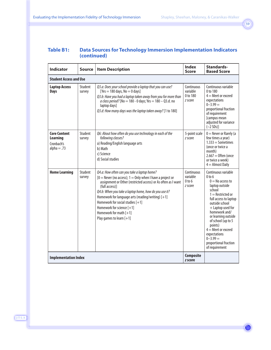| <b>Indicator</b>                                                      | Source            | <b>Item Description</b>                                                                                                                                                                                                                                                                                                                                                                                                                  | <b>Index</b><br><b>Score</b>                           | Standards-<br><b>Based Score</b>                                                                                                                                                                                                                                                                                                                                |
|-----------------------------------------------------------------------|-------------------|------------------------------------------------------------------------------------------------------------------------------------------------------------------------------------------------------------------------------------------------------------------------------------------------------------------------------------------------------------------------------------------------------------------------------------------|--------------------------------------------------------|-----------------------------------------------------------------------------------------------------------------------------------------------------------------------------------------------------------------------------------------------------------------------------------------------------------------------------------------------------------------|
| <b>Student Access and Use</b>                                         |                   |                                                                                                                                                                                                                                                                                                                                                                                                                                          |                                                        |                                                                                                                                                                                                                                                                                                                                                                 |
| <b>Laptop Access</b><br><b>Days</b>                                   | Student<br>survey | Q3.a: Does your school provide a laptop that you can use?<br>[Yes = 180 days, $No = 0$ days]<br>Q3.b: Have you had a laptop taken away from you for more than<br>a class period? [No = 180 - 0 days; Yes = $180 - Q3$ .d. no<br>laptop days]<br>Q3.d: How many days was the laptop taken away? [1 to 180]                                                                                                                                | Continuous<br>variable<br>0 to 180<br>z score          | Continuous variable<br>0 to 180<br>$4 =$ Meet or exceed<br>expectations<br>$0 - 3.99 =$<br>proportional fraction<br>of requirement<br>[campus mean<br>adjusted for variance<br>$(-2$ SDs)]                                                                                                                                                                      |
| <b>Core Content</b><br><b>Learning</b><br>Cronbach's<br>$alpha = .73$ | Student<br>survey | Q6: About how often do you use technology in each of the<br>following classes?<br>a) Reading/English language arts<br>b) Math<br>c) Science<br>d) Social studies                                                                                                                                                                                                                                                                         | 5-point scale<br>z score                               | $0 =$ Never or Rarely (a<br>few times a year)<br>$1.333 =$ Sometimes<br>(once or twice a<br>month)<br>$2.667 =$ Often (once<br>or twice a week)<br>$4 =$ Almost Daily                                                                                                                                                                                           |
| <b>Home Learning</b>                                                  | Student<br>survey | Q4.a: How often can you take a laptop home?<br>$[0 =$ Never (no access); 1 = Only when I have a project or<br>assignment or Other (restricted access) or As often as I want<br>(full access)]<br>Q4.b: When you take a laptop home, how do you use it?<br>Homework for language arts (reading/writing) [+1]<br>Homework for social studies [+1]<br>Homework for science $[+1]$<br>Homework for math $[+1]$<br>Play games to learn $[+1]$ | Continuous<br>variable<br>0 <sub>to</sub> 6<br>z score | Continuous variable<br>0 <sub>to</sub> 6<br>$0 = No$ access to<br>laptop outside<br>school<br>$1 =$ Restricted or<br>full access to laptop<br>outside school<br>$+$ Laptop used for<br>homework and/<br>or learning outside<br>of school (up to 5<br>points)<br>$4 =$ Meet or exceed<br>expectations<br>$0 - 3.99 =$<br>proportional fraction<br>of requirement |
| <b>Implementation Index</b>                                           |                   |                                                                                                                                                                                                                                                                                                                                                                                                                                          | <b>Composite</b><br>z score                            |                                                                                                                                                                                                                                                                                                                                                                 |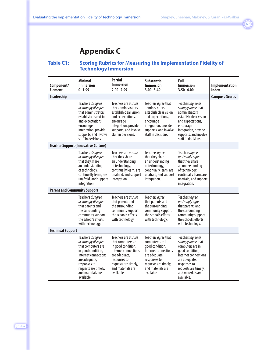### **Appendix C**

#### **Table C1: Scoring Rubrics for Measuring the Implementation Fidelity of Technology Immersion**

| Component/<br><b>Element</b>        | <b>Minimal</b><br><b>Immersion</b><br>$0 - 1.99$                                                                                                                                                          | <b>Partial</b><br><b>Immersion</b><br>$2.00 - 2.99$                                                                                                                                   | <b>Substantial</b><br><b>Immersion</b><br>$3.00 - 3.49$                                                                                                                        | Full<br><b>Immersion</b><br>$3.50 - 4.00$                                                                                                                                                           | Implementation<br><b>Index</b> |
|-------------------------------------|-----------------------------------------------------------------------------------------------------------------------------------------------------------------------------------------------------------|---------------------------------------------------------------------------------------------------------------------------------------------------------------------------------------|--------------------------------------------------------------------------------------------------------------------------------------------------------------------------------|-----------------------------------------------------------------------------------------------------------------------------------------------------------------------------------------------------|--------------------------------|
| Leadership                          |                                                                                                                                                                                                           |                                                                                                                                                                                       |                                                                                                                                                                                |                                                                                                                                                                                                     | <b>Campus z Scores</b>         |
|                                     | Teachers disagree<br>or strongly disagree<br>that administrators<br>establish clear vision<br>and expectations,<br>encourage<br>integration, provide<br>supports, and involve<br>staff in decisions.      | Teachers are <i>unsure</i><br>that administrators<br>establish clear vision<br>and expectations,<br>encourage<br>integration, provide<br>supports, and involve<br>staff in decisions. | Teachers agree that<br>administrators<br>establish clear vision<br>and expectations,<br>encourage<br>integration, provide<br>supports, and involve<br>staff in decisions.      | Teachers agree or<br>strongly agree that<br>administrators<br>establish clear vision<br>and expectations,<br>encourage<br>integration, provide<br>supports, and involve<br>staff in decisions.      |                                |
|                                     | <b>Teacher Support (Innovative Culture)</b>                                                                                                                                                               |                                                                                                                                                                                       |                                                                                                                                                                                |                                                                                                                                                                                                     |                                |
|                                     | Teachers disagree<br>or strongly disagree<br>that they share<br>an understanding<br>of technology,<br>continually learn, are<br>unafraid, and support<br>integration.                                     | Teachers are unsure<br>that they share<br>an understanding<br>of technology,<br>continually learn, are<br>unafraid, and support<br>integration.                                       | Teachers agree<br>that they share<br>an understanding<br>of technology,<br>continually learn, are<br>unafraid, and support<br>integration.                                     | Teachers agree<br>or strongly agree<br>that they share<br>an understanding<br>of technology,<br>continually learn, are<br>unafraid, and support<br>integration.                                     |                                |
| <b>Parent and Community Support</b> |                                                                                                                                                                                                           |                                                                                                                                                                                       |                                                                                                                                                                                |                                                                                                                                                                                                     |                                |
|                                     | Teachers disagree<br>or strongly disagree<br>that parents and<br>the surrounding<br>community support<br>the school's efforts<br>with technology.                                                         | Teachers are unsure<br>that parents and<br>the surrounding<br>community support<br>the school's efforts<br>with technology.                                                           | Teachers agree<br>that parents and<br>the surrounding<br>community support<br>the school's efforts<br>with technology.                                                         | Teachers agree<br>or strongly agree<br>that parents and<br>the surrounding<br>community support<br>the school's efforts<br>with technology.                                                         |                                |
| <b>Technical Support</b>            |                                                                                                                                                                                                           |                                                                                                                                                                                       |                                                                                                                                                                                |                                                                                                                                                                                                     |                                |
|                                     | Teachers disagree<br>or strongly disagree<br>that computers are<br>in good condition,<br>Internet connections<br>are adequate,<br>responses to<br>requests are timely,<br>and materials are<br>available. | Teachers are unsure<br>that computers are<br>in good condition,<br>Internet connections<br>are adequate,<br>responses to<br>requests are timely,<br>and materials are<br>available.   | Teachers agree that<br>computers are in<br>good condition,<br>Internet connections<br>are adequate,<br>responses to<br>requests are timely,<br>and materials are<br>available. | Teachers agree or<br>strongly agree that<br>computers are in<br>good condition,<br>Internet connections<br>are adequate,<br>responses to<br>requests are timely,<br>and materials are<br>available. |                                |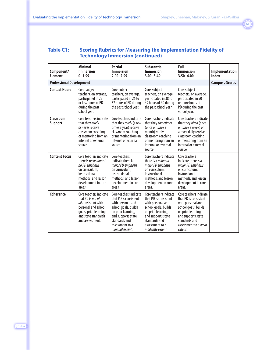#### **Table C1: Scoring Rubrics for Measuring the Implementation Fidelity of Technology Immersion (continued)**

| Component/<br><b>Element</b>    | <b>Minimal</b><br><b>Immersion</b><br>$0 - 1.99$                                                                                                              | <b>Partial</b><br><b>Immersion</b><br>$2.00 - 2.99$                                                                                                                                             | <b>Substantial</b><br><b>Immersion</b><br>$3.00 - 3.49$                                                                                                                                          | Full<br><b>Immersion</b><br>$3.50 - 4.00$                                                                                                                                                     | <b>Implementation</b><br><b>Index</b> |  |
|---------------------------------|---------------------------------------------------------------------------------------------------------------------------------------------------------------|-------------------------------------------------------------------------------------------------------------------------------------------------------------------------------------------------|--------------------------------------------------------------------------------------------------------------------------------------------------------------------------------------------------|-----------------------------------------------------------------------------------------------------------------------------------------------------------------------------------------------|---------------------------------------|--|
| <b>Professional Development</b> |                                                                                                                                                               |                                                                                                                                                                                                 |                                                                                                                                                                                                  |                                                                                                                                                                                               |                                       |  |
| <b>Contact Hours</b>            | Core-subject<br>teachers, on average,<br>participated in 25<br>or less hours of PD<br>during the past<br>school year.                                         | Core-subject<br>teachers, on average,<br>participated in 26 to<br>37 hours of PD during<br>the past school year.                                                                                | Core-subject<br>teachers, on average,<br>participated in 38 to<br>49 hours of PD during<br>the past school year.                                                                                 | Core-subject<br>teachers, on average,<br>participated in 50<br>or more hours of<br>PD during the past<br>school year.                                                                         |                                       |  |
| Classroom<br><b>Support</b>     | Core teachers indicate<br>that they rarely<br>or never receive<br>classroom coaching<br>or mentoring from an<br>internal or external<br>source.               | Core teachers indicate<br>that they rarely (a few<br>times a year) receive<br>classroom coaching<br>or mentoring from an<br>internal or external<br>source.                                     | Core teachers indicate<br>that they sometimes<br>(once or twice a<br>month) receive<br>classroom coaching<br>or mentoring from an<br>internal or external<br>source.                             | Core teachers indicate<br>that they <i>often</i> (once<br>or twice a week) or<br>almost daily receive<br>classroom coaching<br>or mentoring from an<br>internal or external<br>source.        |                                       |  |
| <b>Content Focus</b>            | Core teachers indicate<br>there is no or almost<br>no PD emphasis<br>on curriculum,<br>instructional<br>methods, and lesson<br>development in core<br>areas.  | Core teachers<br>indicate there is a<br>minor PD emphasis<br>on curriculum.<br>instructional<br>methods, and lesson<br>development in core<br>areas.                                            | Core teachers indicate<br>there is a <i>minor to</i><br>major PD emphasis<br>on curriculum.<br>instructional<br>methods, and lesson<br>development in core<br>areas.                             | Core teachers<br>indicate there is a<br>major PD emphasis<br>on curriculum.<br>instructional<br>methods, and lesson<br>development in core<br>areas.                                          |                                       |  |
| <b>Coherence</b>                | Core teachers indicate<br>that PD is not at<br>all consistent with<br>personal and school<br>goals, prior learning,<br>and state standards<br>and assessment. | Core teachers indicate<br>that PD is consistent<br>with personal and<br>school goals, builds<br>on prior learning,<br>and supports state<br>standards and<br>assessment to a<br>minimal extent. | Core teachers indicate<br>that PD is consistent<br>with personal and<br>school goals, builds<br>on prior learning,<br>and supports state<br>standards and<br>assessment to a<br>moderate extent. | Core teachers indicate<br>that PD is consistent<br>with personal and<br>school goals, builds<br>on prior learning,<br>and supports state<br>standards and<br>assessment to a great<br>extent. |                                       |  |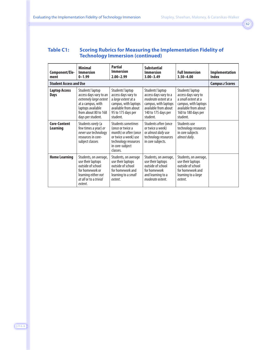#### **Table C1: Scoring Rubrics for Measuring the Implementation Fidelity of Technology Immersion (continued)**

| Component/Ele-<br>ment              | <b>Minimal</b><br><b>Immersion</b><br>$0 - 1.99$                                                                                                            | <b>Partial</b><br>Immersion<br>$2.00 - 2.99$                                                                                                          | <b>Substantial</b><br><b>Immersion</b><br>$3.00 - 3.49$                                                                                              | <b>Full Immersion</b><br>$3.50 - 4.00$                                                                                                            | <b>Implementation</b><br>Index |
|-------------------------------------|-------------------------------------------------------------------------------------------------------------------------------------------------------------|-------------------------------------------------------------------------------------------------------------------------------------------------------|------------------------------------------------------------------------------------------------------------------------------------------------------|---------------------------------------------------------------------------------------------------------------------------------------------------|--------------------------------|
| <b>Student Access and Use</b>       | <b>Campus z Scores</b>                                                                                                                                      |                                                                                                                                                       |                                                                                                                                                      |                                                                                                                                                   |                                |
| <b>Laptop Access</b><br><b>Days</b> | Students' laptop<br>access days vary to an<br>extremely large extent<br>at a campus, with<br>laptops available<br>from about 80 to 168<br>days per student. | Students' laptop<br>access days vary to<br>a large extent at a<br>campus, with laptops<br>available from about<br>95 to 175 days per<br>student.      | Students' laptop<br>access days vary to a<br>moderate extent at a<br>campus, with laptops<br>available from about<br>140 to 175 days per<br>student. | Students' laptop<br>access days vary to<br>a small extent at a<br>campus, with laptops<br>available from about<br>160 to 180 days per<br>student. |                                |
| Core-Content<br>Learning            | Students rarely (a<br>few times a year) or<br>never use technology<br>resources in core-<br>subject classes                                                 | Students sometimes<br>(once or twice a<br>month) or <i>often</i> (once<br>or twice a week) use<br>technology resources<br>in core-subject<br>classes. | Students often (once<br>or twice a week)<br>or almost daily use<br>technology resources<br>in core subjects.                                         | Students use<br>technology resources<br>in core subjects<br>almost daily.                                                                         |                                |
| <b>Home Learning</b>                | Students, on average,<br>use their laptops<br>outside of school<br>for homework or<br>learning either not<br>at all or to a trivial<br>extent.              | Students, on average<br>use their laptops<br>outside of school<br>for homework and<br>learning to a small<br>extent.                                  | Students, on average,<br>use their laptops<br>outside of school<br>for homework<br>and learning to a<br>moderate extent.                             | Students, on average,<br>use their laptops<br>outside of school<br>for homework and<br>learning to a <i>large</i><br>extent.                      |                                |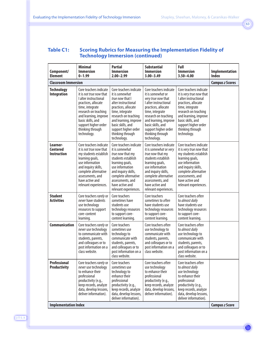#### **Table C1: Scoring Rubrics for Measuring the Implementation Fidelity of Technology Immersion (continued)**

| Component/<br><b>Element</b>               | <b>Minimal</b><br><b>Immersion</b><br>$0 - 1.99$                                                                                                                                                                                                             | <b>Partial</b><br><b>Immersion</b><br>$2.00 - 2.99$                                                                                                                                                                                                           | <b>Substantial</b><br><b>Immersion</b><br>$3.00 - 3.49$                                                                                                                                                                                                               | Full<br><b>Immersion</b><br>$3.50 - 4.00$                                                                                                                                                                                                              | Implementation<br><b>Index</b> |
|--------------------------------------------|--------------------------------------------------------------------------------------------------------------------------------------------------------------------------------------------------------------------------------------------------------------|---------------------------------------------------------------------------------------------------------------------------------------------------------------------------------------------------------------------------------------------------------------|-----------------------------------------------------------------------------------------------------------------------------------------------------------------------------------------------------------------------------------------------------------------------|--------------------------------------------------------------------------------------------------------------------------------------------------------------------------------------------------------------------------------------------------------|--------------------------------|
| <b>Classroom Immersion</b>                 | <b>Campus z Scores</b>                                                                                                                                                                                                                                       |                                                                                                                                                                                                                                                               |                                                                                                                                                                                                                                                                       |                                                                                                                                                                                                                                                        |                                |
| <b>Technology</b><br><b>Integration</b>    | Core teachers indicate<br>it is <i>not true now</i> that<br>I alter instructional<br>practices, allocate<br>time, integrate<br>research on teaching<br>and learning, improve<br>basic skills, and<br>support higher order<br>thinking through<br>technology. | Core teachers indicate<br>it is somewhat<br>true now that I<br>alter instructional<br>practices, allocate<br>time, integrate<br>research on teaching<br>and learning, improve<br>basic skills, and<br>support higher order<br>thinking through<br>technology. | Core teachers indicate<br>it is somewhat or<br>very true now that<br>I alter instructional<br>practices, allocate<br>time, integrate<br>research on teaching<br>and learning, improve<br>basic skills, and<br>support higher order<br>thinking through<br>technology. | Core teachers indicate<br>it is very true now that<br>I alter instructional<br>practices, allocate<br>time, integrate<br>research on teaching<br>and learning, improve<br>basic skills, and<br>support higher order<br>thinking through<br>technology. |                                |
| Learner-<br>Centered<br><b>Instruction</b> | Core teachers indicate<br>it is <i>not true now that</i><br>my students establish<br>learning goals,<br>use information<br>and inquiry skills,<br>complete alternative<br>assessments, and<br>have active and<br>relevant experiences.                       | Core teachers indicate<br>it is somewhat<br>true now that my<br>students establish<br>learning goals,<br>use information<br>and inquiry skills,<br>complete alternative<br>assessments, and<br>have active and<br>relevant experiences.                       | Core teachers indicate<br>it is somewhat or very<br>true now that my<br>students establish<br>learning goals,<br>use information<br>and inquiry skills,<br>complete alternative<br>assessments, and<br>have active and<br>relevant experiences.                       | Core teachers indicate<br>it is very true now that<br>my students establish<br>learning goals,<br>use information<br>and inquiry skills,<br>complete alternative<br>assessments, and<br>have active and<br>relevant experiences.                       |                                |
| <b>Student</b><br><b>Activities</b>        | Core teachers rarely or<br>never have students<br>use technology<br>resources to support<br>core-content<br>learning.                                                                                                                                        | Core teachers<br>sometimes have<br>students use<br>technology resources<br>to support core-<br>content learning.                                                                                                                                              | Core teachers<br>sometimes to often<br>have students use<br>technology resources<br>to support core-<br>content learning.                                                                                                                                             | Core teachers often<br>to almost daily<br>have students use<br>technology resources<br>to support core-<br>content learning.                                                                                                                           |                                |
| <b>Communication</b>                       | Core teachers rarely or<br>never use technology<br>to communicate with<br>students, parents,<br>and colleagues or to<br>post information on a<br>class website.                                                                                              | Core teachers<br>sometimes use<br>technology to<br>communicate with<br>students, parents,<br>and colleagues or to<br>post information on a<br>class website.                                                                                                  | Core teachers often<br>use technology to<br>communicate with<br>students, parents,<br>and colleagues or to<br>post information on a<br>class website.                                                                                                                 | Core teachers often<br>to almost daily<br>use technology to<br>communicate with<br>students, parents,<br>and colleagues or to<br>post information on a<br>class website.                                                                               |                                |
| Professional<br><b>Productivity</b>        | Core teachers rarely or<br>never use technology<br>to enhance their<br>professional<br>productivity (e.g.,<br>keep records, analyze<br>data, develop lessons,<br>deliver information).                                                                       | Core teachers<br>sometimes use<br>technology to<br>enhance their<br>professional<br>productivity (e.g.,<br>keep records, analyze<br>data, develop lessons,<br>deliver information).                                                                           | Core teachers often<br>use technology<br>to enhance their<br>professional<br>productivity (e.g.,<br>keep records, analyze<br>data, develop lessons,<br>deliver information).                                                                                          | Core teachers often<br>to almost daily<br>use technology<br>to enhance their<br>professional<br>productivity (e.g.,<br>keep records, analyze<br>data, develop lessons,<br>deliver information).                                                        | <b>Campus z Score</b>          |
| <b>Implementation Index</b>                |                                                                                                                                                                                                                                                              |                                                                                                                                                                                                                                                               |                                                                                                                                                                                                                                                                       |                                                                                                                                                                                                                                                        |                                |

J·T·L·A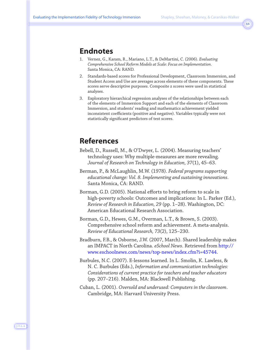### **Endnotes**

- 1. Vernez, G., Karam, R., Mariano, L.T., & DeMartini, C. (2006). *Evaluating Comprehensive School Reform Models at Scale: Focus on Implementation*. Santa Monica, CA: RAND.
- 2. Standards-based scores for Professional Development, Classroom Immersion, and Student Access and Use are averages across elements of these components. These scores serve descriptive purposes. Composite z scores were used in statistical analyses.
- 3. Exploratory hierarchical regression analyses of the relationships between each of the elements of Immersion Support and each of the elements of Classroom Immersion, and students' reading and mathematics achievement yielded inconsistent coefficients (positive and negative). Variables typically were not statistically significant predictors of test scores.

### **References**

- Bebell, D., Russell, M., & O'Dwyer, L. (2004). Measuring teachers' technology uses: Why multiple-measures are more revealing. *Journal of Research on Technology in Education, 37*(1), 45–63.
- Berman, P., & McLaughlin, M.W. (1978). *Federal programs supporting educational change: Vol. 8. Implementing and sustaining innovations*. Santa Monica, CA: RAND.
- Borman, G.D. (2005). National efforts to bring reform to scale in high-poverty schools: Outcomes and implications: In L. Parker (Ed.), *Review of Research in Education, 29* (pp. 1–28). Washington, DC: American Educational Research Association.
- Borman, G.D., Hewes, G.M., Overman, L.T., & Brown, S. (2003). Comprehensive school reform and achievement. A meta-analysis. *Review of Educational Research, 73*(2), 125–230.
- Bradburn, F.B., & Osborne, J.W. (2007, March). Shared leadership makes an IMPACT in North Carolina. *eSchool News*. Retrieved from [http://](http://www.eschoolnews.com/news/top-news/index.cfm?i=45744) [www.eschoolnews.com/news/top-news/index.cfm?i=45744.](http://www.eschoolnews.com/news/top-news/index.cfm?i=45744)
- Burbules, N.C. (2007). E-lessons learned. In L. Smolin, K. Lawless, & N. C. Burbules (Eds.), *Information and communication technologies: Considerations of current practice for teachers and teacher educators* (pp. 207–216). Malden, MA: Blackwell Publishing.
- Cuban, L. (2001). *Oversold and underused: Computers in the classroom*. Cambridge, MA: Harvard University Press.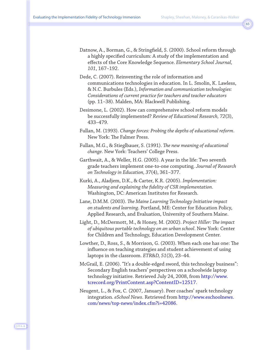- Datnow, A., Borman, G., & Stringfield, S. (2000). School reform through a highly specified curriculum: A study of the implementation and effects of the Core Knowledge Sequence. *Elementary School Journal, 101*, 167–192.
- Dede, C. (2007). Reinventing the role of information and communications technologies in education. In L. Smolin, K. Lawless, & N.C. Burbules (Eds.), *Information and communication technologies: Considerations of current practice for teachers and teacher educators* (pp. 11–38). Malden, MA: Blackwell Publishing.
- Desimone, L. (2002). How can comprehensive school reform models be successfully implemented? *Review of Educational Research, 72*(3), 433–479.
- Fullan, M. (1993). *Change forces: Probing the depths of educational reform*. New York: The Falmer Press.
- Fullan, M.G., & Stieglbauer, S. (1991). *The new meaning of educational change*. New York: Teachers' College Press.
- Garthwait, A., & Weller, H.G. (2005). A year in the life: Two seventh grade teachers implement one-to-one computing. *Journal of Research on Technology in Education, 37*(4), 361–377.
- Kurki, A., Aladjem, D.K., & Carter, K.R. (2005). *Implementation: Measuring and explaining the fidelity of CSR implementation*. Washington, DC: American Institutes for Research.
- Lane, D.M.M. (2003). *The Maine Learning Technology Initiative impact on students and learning*. Portland, ME: Center for Education Policy, Applied Research, and Evaluation, University of Southern Maine.
- Light, D., McDermott, M., & Honey, M. (2002). *Project Hiller: The impact of ubiquitous portable technology on an urban school*. New York: Center for Children and Technology, Education Development Center.
- Lowther, D., Ross, S., & Morrison, G. (2003). When each one has one: The influence on teaching strategies and student achievement of using laptops in the classroom. *ETR&D, 51*(3), 23–44.
- McGrail, E. (2006). "It's a double-edged sword, this technology business": Secondary English teachers' perspectives on a schoolwide laptop technology initiative. Retrieved July 24, 2008, from [http://www.](http://www.tcrecord.org/PrintContent.asp?ContentID=12517) [tcrecord.org/PrintContent.asp?ContentID=12517.](http://www.tcrecord.org/PrintContent.asp?ContentID=12517)
- Neugent, L., & Fox, C. (2007, January). Peer coaches' spark technology integration. *eSchool News*. Retrieved from [http://www.eschoolnews.](http://www.eschoolnews.com/news/top-news/index.cfm?i=42086) [com/news/top-news/index.cfm?i=42086.](http://www.eschoolnews.com/top-news/index.cfm?i=42086)

J·T·L·A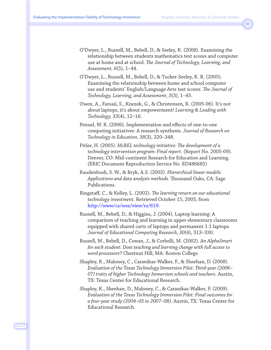- O'Dwyer, L., Russell, M., Bebell, D., & Seeley, K. (2008). Examining the relationship between students mathematics test scores and computer use at home and at school. *The Journal of Technology, Learning, and Assessment, 6*(5), 1–44.
- O'Dwyer, L., Russell, M., Bebell, D., & Tucker-Seeley, K. R. (2005). Examining the relationship between home and school computer use and students' English/Language Arts test scores. *The Journal of Technology, Learning, and Assessment, 3*(3), 1–45.
- Owen, A., Farsaii, S., Knezek, G., & Christensen, R. (2005-06). It's not about laptops, it's about empowerment! *Learning & Leading with Technology, 33*(4), 12–16.
- Penuel, W. R. (2006). Implementation and effects of one-to-one computing initiatives: A research synthesis. *Journal of Research on Technology in Education, 38*(3), 320–348.
- Pitler, H. (2005). *McREL technology initiative: The development of a technology intervention program: Final report*. (Report No. 2005-09). Denver, CO: Mid-continent Research for Education and Learning. (ERIC Document Reproduction Service No. ED486685)
- Raudenbush, S. W., & Bryk, A.S. (2002). *Hierarchical linear models: Applications and data analysis methods*. Thousand Oaks, CA: Sage Publications.
- Ringstaff, C., & Kelley, L. (2002). *The learning return on our educational technology investment*. Retrieved October 15, 2005, from [http://www/cs/wes/view/rs/619.](http://www/cs/wes/view/rs/619)
- Russell, M., Bebell, D., & Higgins, J. (2004). Laptop learning: A comparison of teaching and learning in upper elementary classrooms equipped with shared carts of laptops and permanent 1:1 laptops. *Journal of Educational Computing Research, 30*(4), 313–330.
- Russell, M., Bebell, D., Cowan, J., & Corbelli, M. (2002). *An AlphaSmart for each student: Does teaching and learning change with full access to word processors?* Chestnut Hill, MA: Boston College.
- Shapley, K., Maloney, C., Caranikas-Walker, F., & Sheehan, D. (2008). *Evaluation of the Texas Technology Immersion Pilot: Third-year (2006– 07) traits of higher Technology Immersion schools and teachers*. Austin, TX: Texas Center for Educational Research.
- Shapley, K., Sheehan, D., Maloney, C., & Caranikas-Walker, F. (2009). *Evaluation of the Texas Technology Immersion Pilot: Final outcomes for a four-year study (2004–05 to 2007–08)*. Austin, TX: Texas Center for Educational Research.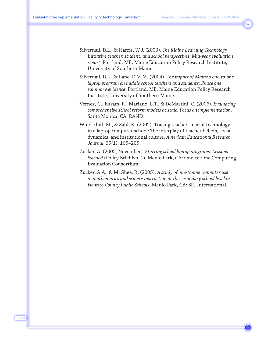- Silvernail, D.L., & Harris, W.J. (2003). *The Maine Learning Technology Initiative teacher, student, and school perspectives: Mid-year evaluation report*. Portland, ME: Maine Education Policy Research Institute, University of Southern Maine.
- Silvernail, D.L., & Lane, D.M.M. (2004). *The impact of Maine's one-to-one laptop program on middle school teachers and students: Phase one summary evidence*. Portland, ME: Maine Education Policy Research Institute, University of Southern Maine.
- Vernez, G., Karam, R., Mariano, L.T., & DeMartini, C. (2006). *Evaluating comprehensive school reform models at scale: Focus on implementation*. Santa Monica, CA: RAND.
- Windschitl, M., & Sahl, K. (2002). Tracing teachers' use of technology in a laptop computer school: The interplay of teacher beliefs, social dynamics, and institutional culture. *American Educational Research Journal, 39*(1), 165–205.
- Zucker, A. (2005, November). *Starting school laptop programs: Lessons learned* (Policy Brief No. 1). Menlo Park, CA: One-to-One Computing Evaluation Consortium.
- Zucker, A.A., & McGhee, R. (2005). *A study of one-to-one computer use in mathematics and science instruction at the secondary school level in Henrico County Public Schools*. Menlo Park, CA: SRI International.

J·T·L·A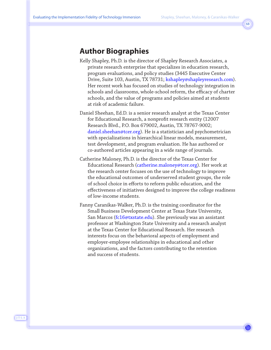### **Author Biographies**

- Kelly Shapley, Ph.D. is the director of Shapley Research Associates, a private research enterprise that specializes in education research, program evaluations, and policy studies (3445 Executive Center Drive, Suite 103, Austin, TX 78731; kshapley@shapleyresearch.com). Her recent work has focused on studies of technology integration in schools and classrooms, whole-school reform, the efficacy of charter schools, and the value of programs and policies aimed at students at risk of academic failure.
- Daniel Sheehan, Ed.D. is a senior research analyst at the Texas Center for Educational Research, a nonprofit research entity (12007 Research Blvd., P.O. Box 679002, Austin, TX 78767-9002; [daniel.sheehan@tcer.org\). H](mailto:daniel.sheehan@tcer.org)e is a statistician and psychometrician with specializations in hierarchical linear models, measurement, test development, and program evaluation. He has authored or co-authored articles appearing in a wide range of journals.
- Catherine Maloney, Ph.D. is the director of the Texas Center for Educational Research [\(catherine.maloney@tcer.org\).](mailto:catherine.maloney@tcer.org) Her work at the research center focuses on the use of technology to improve the educational outcomes of underserved student groups, the role of school choice in efforts to reform public education, and the effectiveness of initiatives designed to improve the college readiness of low-income students.
- Fanny Caranikas-Walker, Ph.D. is the training coordinator for the Small Business Development Center at Texas State University, San Marcos [\(fc16@txstate.edu\).](mailto:fc16@txstate.edu) She previously was an assistant professor at Washington State University and a research analyst at the Texas Center for Educational Research. Her research interests focus on the behavioral aspects of employment and employer-employee relationships in educational and other organizations, and the factors contributing to the retention and success of students.

J·T·L·A